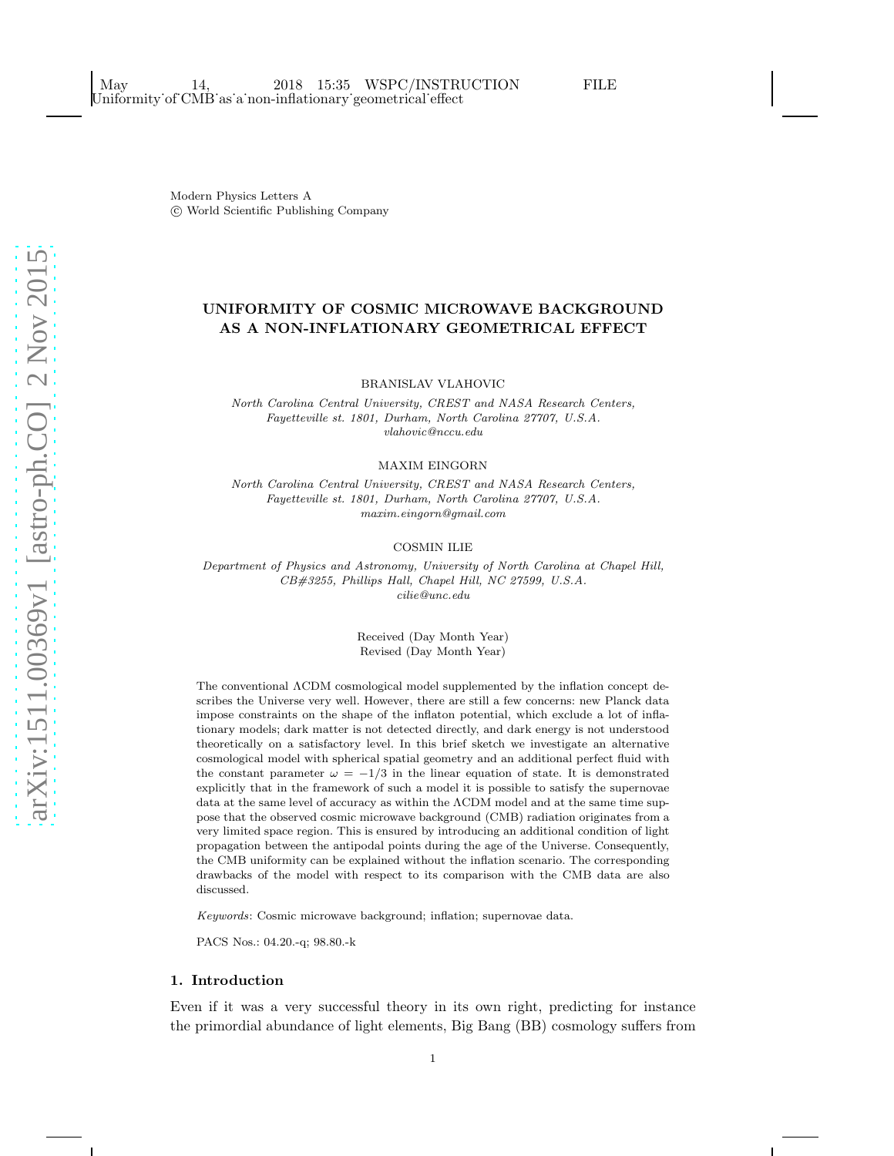Modern Physics Letters A c World Scientific Publishing Company

# UNIFORMITY OF COSMIC MICROWAVE BACKGROUND AS A NON-INFLATIONARY GEOMETRICAL EFFECT

BRANISLAV VLAHOVIC

North Carolina Central University, CREST and NASA Research Centers, Fayetteville st. 1801, Durham, North Carolina 27707, U.S.A. vlahovic@nccu.edu

MAXIM EINGORN

North Carolina Central University, CREST and NASA Research Centers, Fayetteville st. 1801, Durham, North Carolina 27707, U.S.A. maxim.eingorn@gmail.com

# COSMIN ILIE

Department of Physics and Astronomy, University of North Carolina at Chapel Hill, CB#3255, Phillips Hall, Chapel Hill, NC 27599, U.S.A. cilie@unc.edu

> Received (Day Month Year) Revised (Day Month Year)

The conventional ΛCDM cosmological model supplemented by the inflation concept describes the Universe very well. However, there are still a few concerns: new Planck data impose constraints on the shape of the inflaton potential, which exclude a lot of inflationary models; dark matter is not detected directly, and dark energy is not understood theoretically on a satisfactory level. In this brief sketch we investigate an alternative cosmological model with spherical spatial geometry and an additional perfect fluid with the constant parameter  $\omega = -1/3$  in the linear equation of state. It is demonstrated explicitly that in the framework of such a model it is possible to satisfy the supernovae data at the same level of accuracy as within the ΛCDM model and at the same time suppose that the observed cosmic microwave background (CMB) radiation originates from a very limited space region. This is ensured by introducing an additional condition of light propagation between the antipodal points during the age of the Universe. Consequently, the CMB uniformity can be explained without the inflation scenario. The corresponding drawbacks of the model with respect to its comparison with the CMB data are also discussed.

Keywords: Cosmic microwave background; inflation; supernovae data.

PACS Nos.: 04.20.-q; 98.80.-k

### 1. Introduction

Even if it was a very successful theory in its own right, predicting for instance the primordial abundance of light elements, Big Bang (BB) cosmology suffers from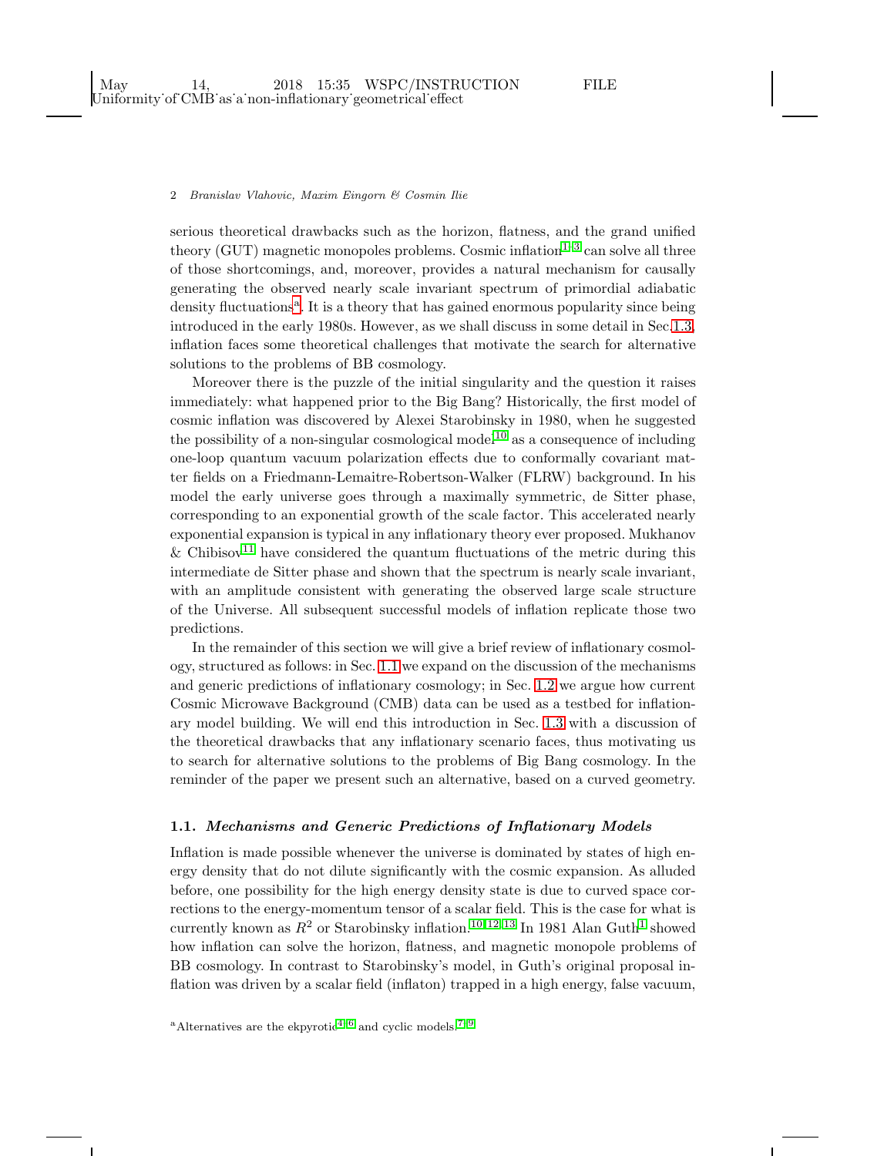serious theoretical drawbacks such as the horizon, flatness, and the grand unified theory (GUT) magnetic monopoles problems. Cosmic inflation<sup>[1](#page-20-0)[–3](#page-20-1)</sup> can solve all three of those shortcomings, and, moreover, provides a natural mechanism for causally generating the observed nearly scale invariant spectrum of primordial adiabatic density fluctu[a](#page-1-0)tions<sup>a</sup>. It is a theory that has gained enormous popularity since being introduced in the early 1980s. However, as we shall discuss in some detail in Sec[.1.3,](#page-7-0) inflation faces some theoretical challenges that motivate the search for alternative solutions to the problems of BB cosmology.

Moreover there is the puzzle of the initial singularity and the question it raises immediately: what happened prior to the Big Bang? Historically, the first model of cosmic inflation was discovered by Alexei Starobinsky in 1980, when he suggested the possibility of a non-singular cosmological model<sup>[10](#page-20-2)</sup> as a consequence of including one-loop quantum vacuum polarization effects due to conformally covariant matter fields on a Friedmann-Lemaitre-Robertson-Walker (FLRW) background. In his model the early universe goes through a maximally symmetric, de Sitter phase, corresponding to an exponential growth of the scale factor. This accelerated nearly exponential expansion is typical in any inflationary theory ever proposed. Mukhanov & Chibisov<sup>[11](#page-20-3)</sup> have considered the quantum fluctuations of the metric during this intermediate de Sitter phase and shown that the spectrum is nearly scale invariant, with an amplitude consistent with generating the observed large scale structure of the Universe. All subsequent successful models of inflation replicate those two predictions.

In the remainder of this section we will give a brief review of inflationary cosmology, structured as follows: in Sec. [1.1](#page-1-1) we expand on the discussion of the mechanisms and generic predictions of inflationary cosmology; in Sec. [1.2](#page-5-0) we argue how current Cosmic Microwave Background (CMB) data can be used as a testbed for inflationary model building. We will end this introduction in Sec. [1.3](#page-7-0) with a discussion of the theoretical drawbacks that any inflationary scenario faces, thus motivating us to search for alternative solutions to the problems of Big Bang cosmology. In the reminder of the paper we present such an alternative, based on a curved geometry.

# <span id="page-1-1"></span>1.1. Mechanisms and Generic Predictions of Inflationary Models

Inflation is made possible whenever the universe is dominated by states of high energy density that do not dilute significantly with the cosmic expansion. As alluded before, one possibility for the high energy density state is due to curved space corrections to the energy-momentum tensor of a scalar field. This is the case for what is currently known as  $R^2$  or Starobinsky inflation.<sup>[10,](#page-20-2) [12,](#page-20-4) [13](#page-20-5)</sup> In [1](#page-20-0)981 Alan Guth<sup>1</sup> showed how inflation can solve the horizon, flatness, and magnetic monopole problems of BB cosmology. In contrast to Starobinsky's model, in Guth's original proposal inflation was driven by a scalar field (inflaton) trapped in a high energy, false vacuum,

<span id="page-1-0"></span><sup>a</sup>Alternatives are the ekpyrotic<sup>[4–](#page-20-6)[6](#page-20-7)</sup> and cyclic models.<sup>[7–](#page-20-8)[9](#page-20-9)</sup>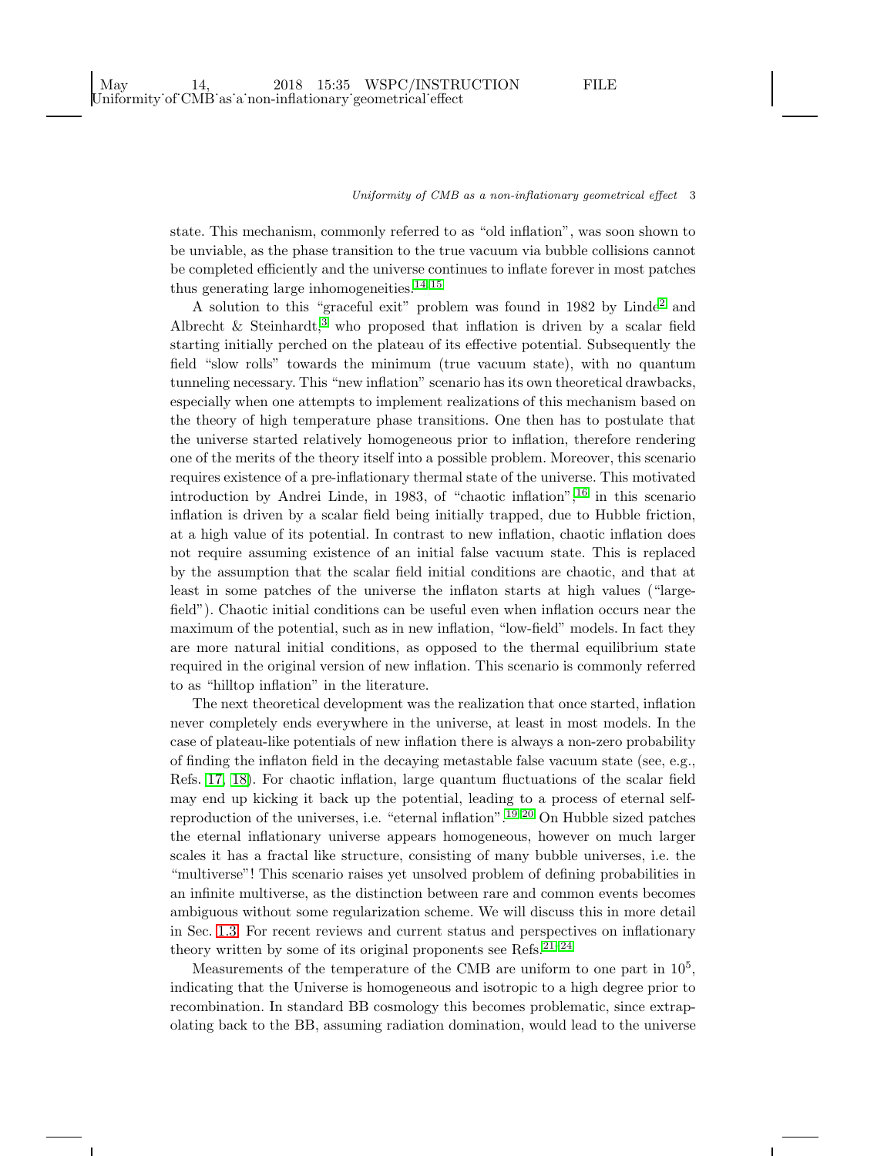state. This mechanism, commonly referred to as "old inflation", was soon shown to be unviable, as the phase transition to the true vacuum via bubble collisions cannot be completed efficiently and the universe continues to inflate forever in most patches thus generating large inhomogeneities. $14, 15$  $14, 15$ 

A solution to this "graceful exit" problem was found in 1982 by Linde[2](#page-20-12) and Albrecht & Steinhardt,<sup>[3](#page-20-1)</sup> who proposed that inflation is driven by a scalar field starting initially perched on the plateau of its effective potential. Subsequently the field "slow rolls" towards the minimum (true vacuum state), with no quantum tunneling necessary. This "new inflation" scenario has its own theoretical drawbacks, especially when one attempts to implement realizations of this mechanism based on the theory of high temperature phase transitions. One then has to postulate that the universe started relatively homogeneous prior to inflation, therefore rendering one of the merits of the theory itself into a possible problem. Moreover, this scenario requires existence of a pre-inflationary thermal state of the universe. This motivated introduction by Andrei Linde, in 1983, of "chaotic inflation";<sup>[16](#page-20-13)</sup> in this scenario inflation is driven by a scalar field being initially trapped, due to Hubble friction, at a high value of its potential. In contrast to new inflation, chaotic inflation does not require assuming existence of an initial false vacuum state. This is replaced by the assumption that the scalar field initial conditions are chaotic, and that at least in some patches of the universe the inflaton starts at high values ("largefield"). Chaotic initial conditions can be useful even when inflation occurs near the maximum of the potential, such as in new inflation, "low-field" models. In fact they are more natural initial conditions, as opposed to the thermal equilibrium state required in the original version of new inflation. This scenario is commonly referred to as "hilltop inflation" in the literature.

The next theoretical development was the realization that once started, inflation never completely ends everywhere in the universe, at least in most models. In the case of plateau-like potentials of new inflation there is always a non-zero probability of finding the inflaton field in the decaying metastable false vacuum state (see, e.g., Refs. [17,](#page-20-14) [18\)](#page-20-15). For chaotic inflation, large quantum fluctuations of the scalar field may end up kicking it back up the potential, leading to a process of eternal selfreproduction of the universes, i.e. "eternal inflation".[19,](#page-20-16) [20](#page-20-17) On Hubble sized patches the eternal inflationary universe appears homogeneous, however on much larger scales it has a fractal like structure, consisting of many bubble universes, i.e. the "multiverse"! This scenario raises yet unsolved problem of defining probabilities in an infinite multiverse, as the distinction between rare and common events becomes ambiguous without some regularization scheme. We will discuss this in more detail in Sec. [1.3.](#page-7-0) For recent reviews and current status and perspectives on inflationary theory written by some of its original proponents see Refs.<sup>[21](#page-20-18)-24</sup>

Measurements of the temperature of the CMB are uniform to one part in  $10<sup>5</sup>$ , indicating that the Universe is homogeneous and isotropic to a high degree prior to recombination. In standard BB cosmology this becomes problematic, since extrapolating back to the BB, assuming radiation domination, would lead to the universe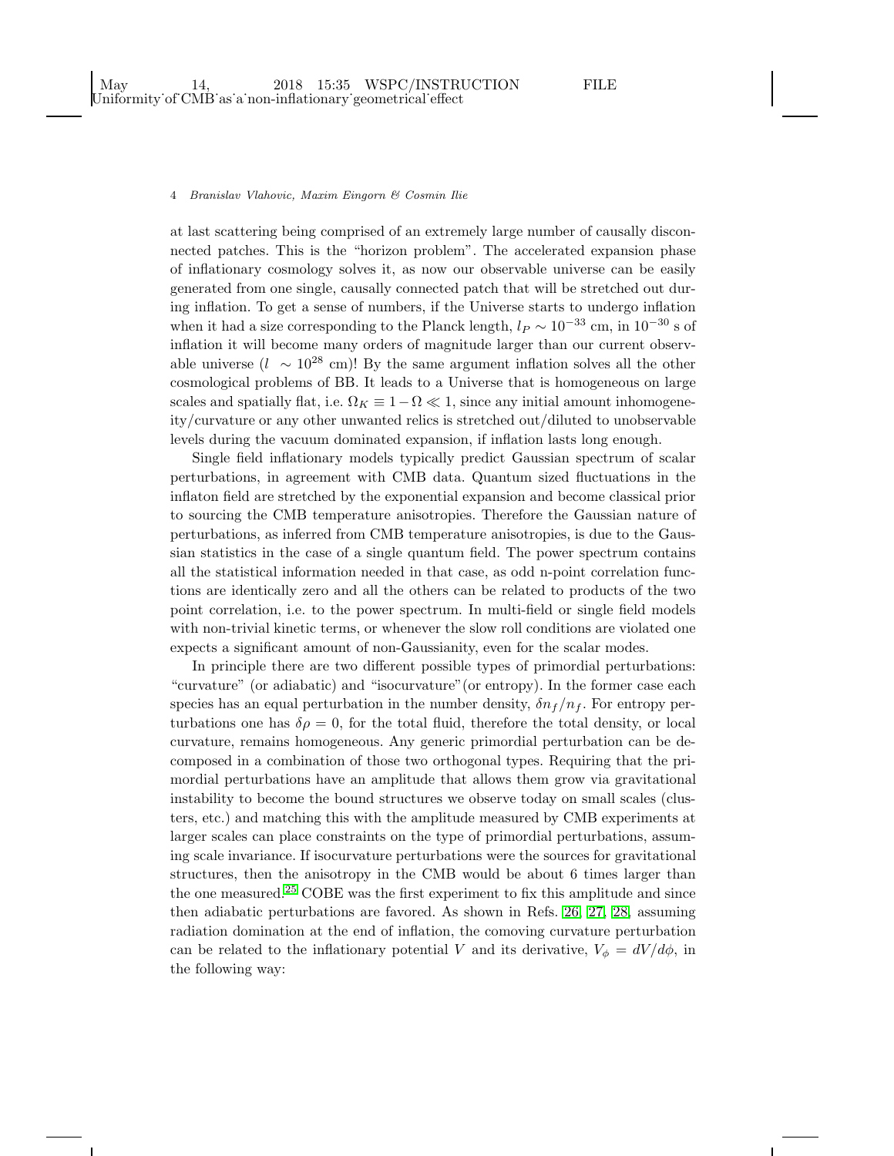at last scattering being comprised of an extremely large number of causally disconnected patches. This is the "horizon problem". The accelerated expansion phase of inflationary cosmology solves it, as now our observable universe can be easily generated from one single, causally connected patch that will be stretched out during inflation. To get a sense of numbers, if the Universe starts to undergo inflation when it had a size corresponding to the Planck length,  $l_P \sim 10^{-33}$  cm, in  $10^{-30}$  s of inflation it will become many orders of magnitude larger than our current observable universe (l  $\sim 10^{28}$  cm)! By the same argument inflation solves all the other cosmological problems of BB. It leads to a Universe that is homogeneous on large scales and spatially flat, i.e.  $\Omega_K \equiv 1-\Omega \ll 1$ , since any initial amount inhomogeneity/curvature or any other unwanted relics is stretched out/diluted to unobservable levels during the vacuum dominated expansion, if inflation lasts long enough.

Single field inflationary models typically predict Gaussian spectrum of scalar perturbations, in agreement with CMB data. Quantum sized fluctuations in the inflaton field are stretched by the exponential expansion and become classical prior to sourcing the CMB temperature anisotropies. Therefore the Gaussian nature of perturbations, as inferred from CMB temperature anisotropies, is due to the Gaussian statistics in the case of a single quantum field. The power spectrum contains all the statistical information needed in that case, as odd n-point correlation functions are identically zero and all the others can be related to products of the two point correlation, i.e. to the power spectrum. In multi-field or single field models with non-trivial kinetic terms, or whenever the slow roll conditions are violated one expects a significant amount of non-Gaussianity, even for the scalar modes.

In principle there are two different possible types of primordial perturbations: "curvature" (or adiabatic) and "isocurvature"(or entropy). In the former case each species has an equal perturbation in the number density,  $\delta n_f/n_f$ . For entropy perturbations one has  $\delta \rho = 0$ , for the total fluid, therefore the total density, or local curvature, remains homogeneous. Any generic primordial perturbation can be decomposed in a combination of those two orthogonal types. Requiring that the primordial perturbations have an amplitude that allows them grow via gravitational instability to become the bound structures we observe today on small scales (clusters, etc.) and matching this with the amplitude measured by CMB experiments at larger scales can place constraints on the type of primordial perturbations, assuming scale invariance. If isocurvature perturbations were the sources for gravitational structures, then the anisotropy in the CMB would be about 6 times larger than the one measured.[25](#page-21-1) COBE was the first experiment to fix this amplitude and since then adiabatic perturbations are favored. As shown in Refs. [26,](#page-21-2) [27,](#page-21-3) [28,](#page-21-4) assuming radiation domination at the end of inflation, the comoving curvature perturbation can be related to the inflationary potential V and its derivative,  $V_{\phi} = dV/d\phi$ , in the following way: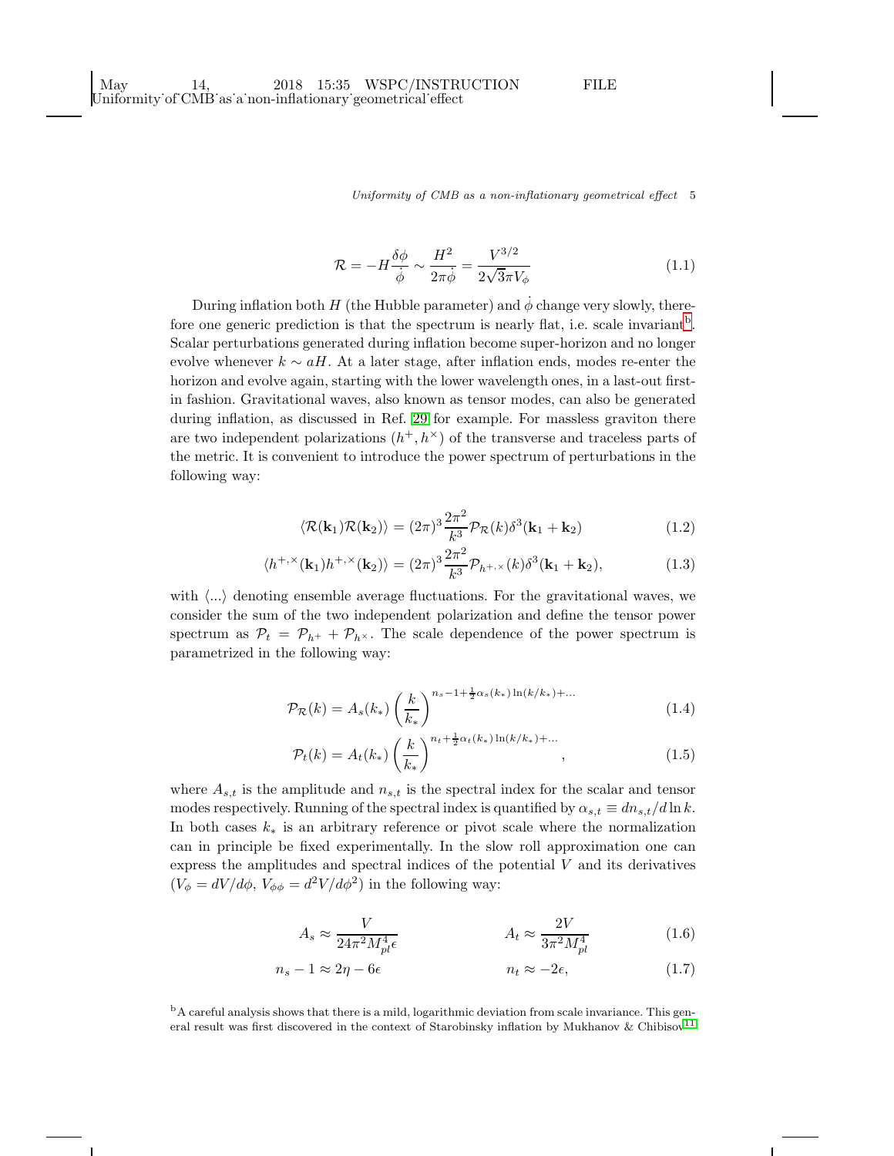$$
\mathcal{R} = -H\frac{\delta\phi}{\dot{\phi}} \sim \frac{H^2}{2\pi\dot{\phi}} = \frac{V^{3/2}}{2\sqrt{3}\pi V_{\phi}}
$$
(1.1)

During inflation both H (the Hubble parameter) and  $\dot{\phi}$  change very slowly, therefore one generic prediction is that the spectrum is nearly flat, i.e. scale invariant<sup>[b](#page-4-0)</sup>. Scalar perturbations generated during inflation become super-horizon and no longer evolve whenever  $k \sim aH$ . At a later stage, after inflation ends, modes re-enter the horizon and evolve again, starting with the lower wavelength ones, in a last-out firstin fashion. Gravitational waves, also known as tensor modes, can also be generated during inflation, as discussed in Ref. [29](#page-21-5) for example. For massless graviton there are two independent polarizations  $(h^+, h^{\times})$  of the transverse and traceless parts of the metric. It is convenient to introduce the power spectrum of perturbations in the following way:

<span id="page-4-3"></span>
$$
\langle \mathcal{R}(\mathbf{k}_1)\mathcal{R}(\mathbf{k}_2)\rangle = (2\pi)^3 \frac{2\pi^2}{k^3} \mathcal{P}_\mathcal{R}(k) \delta^3(\mathbf{k}_1 + \mathbf{k}_2)
$$
 (1.2)

$$
\langle h^{+,\times}(\mathbf{k}_1)h^{+,\times}(\mathbf{k}_2)\rangle = (2\pi)^3 \frac{2\pi^2}{k^3} \mathcal{P}_{h^{+,\times}}(k) \delta^3(\mathbf{k}_1 + \mathbf{k}_2),\tag{1.3}
$$

with  $\langle \ldots \rangle$  denoting ensemble average fluctuations. For the gravitational waves, we consider the sum of the two independent polarization and define the tensor power spectrum as  $\mathcal{P}_t = \mathcal{P}_{h^+} + \mathcal{P}_{h^{\times}}$ . The scale dependence of the power spectrum is parametrized in the following way:

<span id="page-4-2"></span>
$$
\mathcal{P}_{\mathcal{R}}(k) = A_s(k_*) \left(\frac{k}{k_*}\right)^{n_s - 1 + \frac{1}{2}\alpha_s(k_*)\ln(k/k_*) + \dots} \tag{1.4}
$$

$$
\mathcal{P}_t(k) = A_t(k_*) \left(\frac{k}{k_*}\right)^{n_t + \frac{1}{2}\alpha_t(k_*)\ln(k/k_*) + \dots},\tag{1.5}
$$

where  $A_{s,t}$  is the amplitude and  $n_{s,t}$  is the spectral index for the scalar and tensor modes respectively. Running of the spectral index is quantified by  $\alpha_{s,t} \equiv dn_{s,t}/d\ln k$ . In both cases  $k_*$  is an arbitrary reference or pivot scale where the normalization can in principle be fixed experimentally. In the slow roll approximation one can express the amplitudes and spectral indices of the potential  $V$  and its derivatives  $(V_{\phi} = dV/d\phi, V_{\phi\phi} = d^2V/d\phi^2)$  in the following way:

<span id="page-4-1"></span>
$$
A_s \approx \frac{V}{24\pi^2 M_{pl}^4 \epsilon} \qquad A_t \approx \frac{2V}{3\pi^2 M_{pl}^4} \qquad (1.6)
$$

$$
n_s - 1 \approx 2\eta - 6\epsilon \qquad \qquad n_t \approx -2\epsilon,\tag{1.7}
$$

<span id="page-4-0"></span><sup>b</sup>A careful analysis shows that there is a mild, logarithmic deviation from scale invariance. This gen-eral result was first discovered in the context of Starobinsky inflation by Mukhanov & Chibisov<sup>[11](#page-20-3)</sup>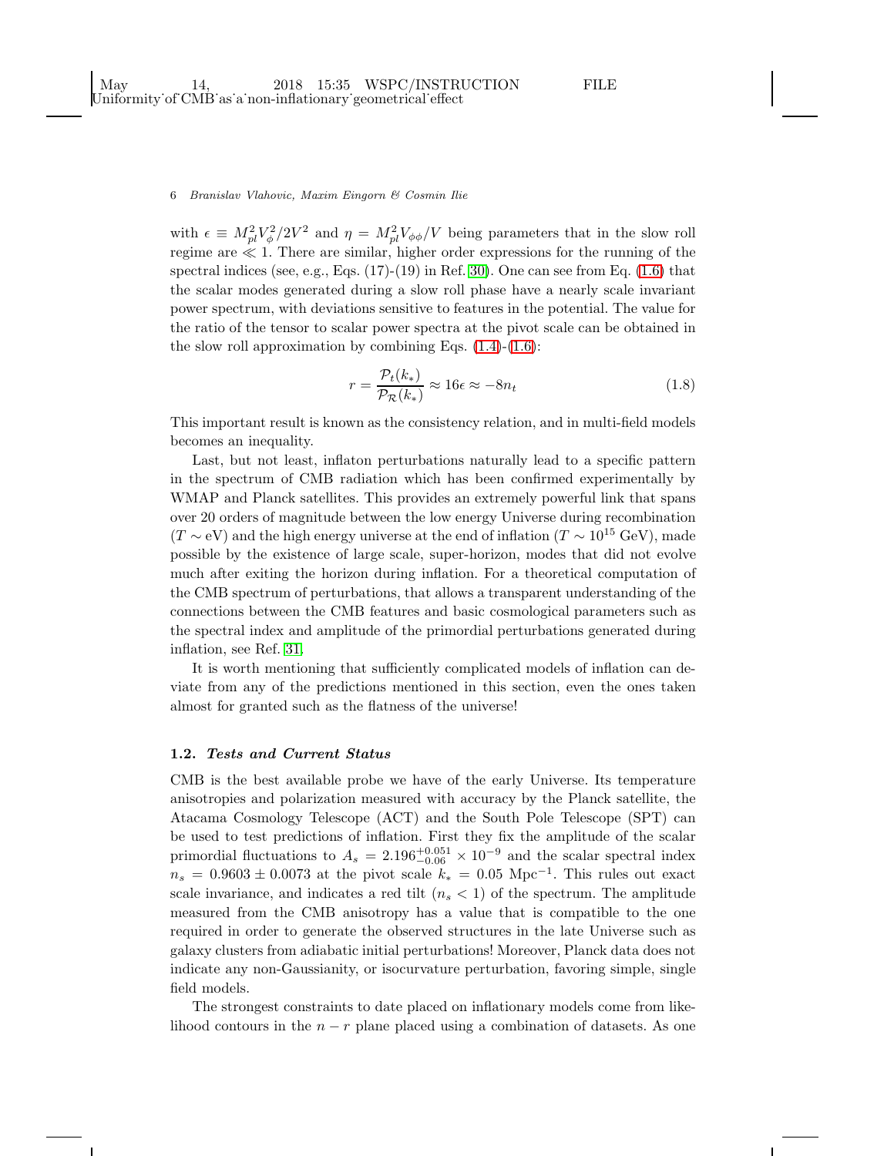with  $\epsilon \equiv M_{pl}^2 V_{\phi}^2 / 2V^2$  and  $\eta = M_{pl}^2 V_{\phi\phi}/V$  being parameters that in the slow roll regime are ≪ 1. There are similar, higher order expressions for the running of the spectral indices (see, e.g., Eqs.  $(17)-(19)$  in Ref. [30\)](#page-21-6). One can see from Eq.  $(1.6)$  that the scalar modes generated during a slow roll phase have a nearly scale invariant power spectrum, with deviations sensitive to features in the potential. The value for the ratio of the tensor to scalar power spectra at the pivot scale can be obtained in the slow roll approximation by combining Eqs.  $(1.4)-(1.6)$  $(1.4)-(1.6)$ :

<span id="page-5-1"></span>
$$
r = \frac{\mathcal{P}_t(k_*)}{\mathcal{P}_\mathcal{R}(k_*)} \approx 16\epsilon \approx -8n_t \tag{1.8}
$$

This important result is known as the consistency relation, and in multi-field models becomes an inequality.

Last, but not least, inflaton perturbations naturally lead to a specific pattern in the spectrum of CMB radiation which has been confirmed experimentally by WMAP and Planck satellites. This provides an extremely powerful link that spans over 20 orders of magnitude between the low energy Universe during recombination  $(T \sim eV)$  and the high energy universe at the end of inflation  $(T \sim 10^{15} \text{ GeV})$ , made possible by the existence of large scale, super-horizon, modes that did not evolve much after exiting the horizon during inflation. For a theoretical computation of the CMB spectrum of perturbations, that allows a transparent understanding of the connections between the CMB features and basic cosmological parameters such as the spectral index and amplitude of the primordial perturbations generated during inflation, see Ref. [31.](#page-21-7)

It is worth mentioning that sufficiently complicated models of inflation can deviate from any of the predictions mentioned in this section, even the ones taken almost for granted such as the flatness of the universe!

# <span id="page-5-0"></span>1.2. Tests and Current Status

CMB is the best available probe we have of the early Universe. Its temperature anisotropies and polarization measured with accuracy by the Planck satellite, the Atacama Cosmology Telescope (ACT) and the South Pole Telescope (SPT) can be used to test predictions of inflation. First they fix the amplitude of the scalar primordial fluctuations to  $A_s = 2.196_{-0.06}^{+0.051} \times 10^{-9}$  and the scalar spectral index  $n_s = 0.9603 \pm 0.0073$  at the pivot scale  $k_* = 0.05$  Mpc<sup>-1</sup>. This rules out exact scale invariance, and indicates a red tilt  $(n_s < 1)$  of the spectrum. The amplitude measured from the CMB anisotropy has a value that is compatible to the one required in order to generate the observed structures in the late Universe such as galaxy clusters from adiabatic initial perturbations! Moreover, Planck data does not indicate any non-Gaussianity, or isocurvature perturbation, favoring simple, single field models.

The strongest constraints to date placed on inflationary models come from likelihood contours in the  $n - r$  plane placed using a combination of datasets. As one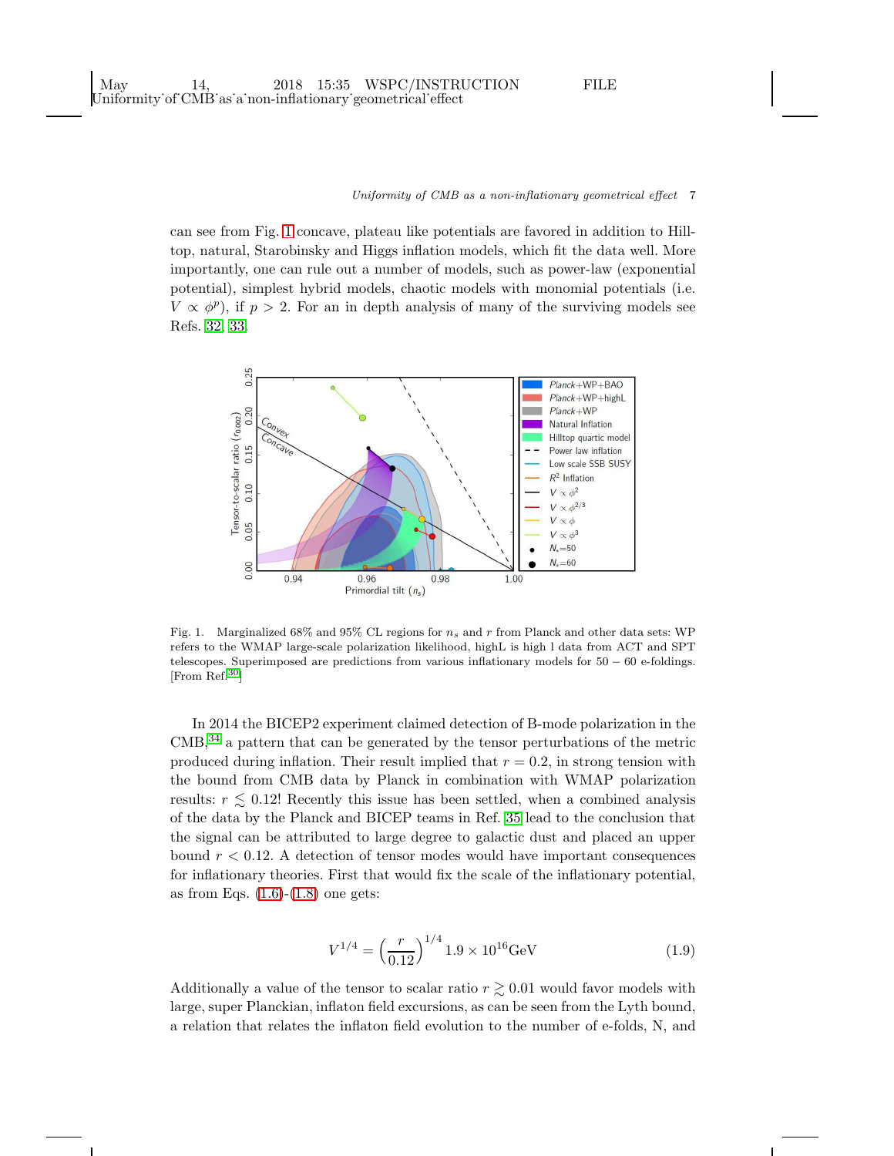can see from Fig. [1](#page-6-0) concave, plateau like potentials are favored in addition to Hilltop, natural, Starobinsky and Higgs inflation models, which fit the data well. More importantly, one can rule out a number of models, such as power-law (exponential potential), simplest hybrid models, chaotic models with monomial potentials (i.e.  $V \propto \phi^p$ ), if  $p > 2$ . For an in depth analysis of many of the surviving models see Refs. [32,](#page-21-8) [33.](#page-21-9)



<span id="page-6-0"></span>Fig. 1. Marginalized 68% and 95% CL regions for  $n_s$  and r from Planck and other data sets: WP refers to the WMAP large-scale polarization likelihood, highL is high l data from ACT and SPT telescopes. Superimposed are predictions from various inflationary models for 50 − 60 e-foldings.  $\left[ \text{From Ref.}30 \right]$  $\left[ \text{From Ref.}30 \right]$  $\left[ \text{From Ref.}30 \right]$ 

In 2014 the BICEP2 experiment claimed detection of B-mode polarization in the  $CMB$ ,<sup>[34](#page-21-10)</sup> a pattern that can be generated by the tensor perturbations of the metric produced during inflation. Their result implied that  $r = 0.2$ , in strong tension with the bound from CMB data by Planck in combination with WMAP polarization results:  $r \lesssim 0.12$ ! Recently this issue has been settled, when a combined analysis of the data by the Planck and BICEP teams in Ref. [35](#page-21-11) lead to the conclusion that the signal can be attributed to large degree to galactic dust and placed an upper bound  $r < 0.12$ . A detection of tensor modes would have important consequences for inflationary theories. First that would fix the scale of the inflationary potential, as from Eqs.  $(1.6)-(1.8)$  $(1.6)-(1.8)$  one gets:

<span id="page-6-1"></span>
$$
V^{1/4} = \left(\frac{r}{0.12}\right)^{1/4} 1.9 \times 10^{16} \text{GeV} \tag{1.9}
$$

Additionally a value of the tensor to scalar ratio  $r \gtrsim 0.01$  would favor models with large, super Planckian, inflaton field excursions, as can be seen from the Lyth bound, a relation that relates the inflaton field evolution to the number of e-folds, N, and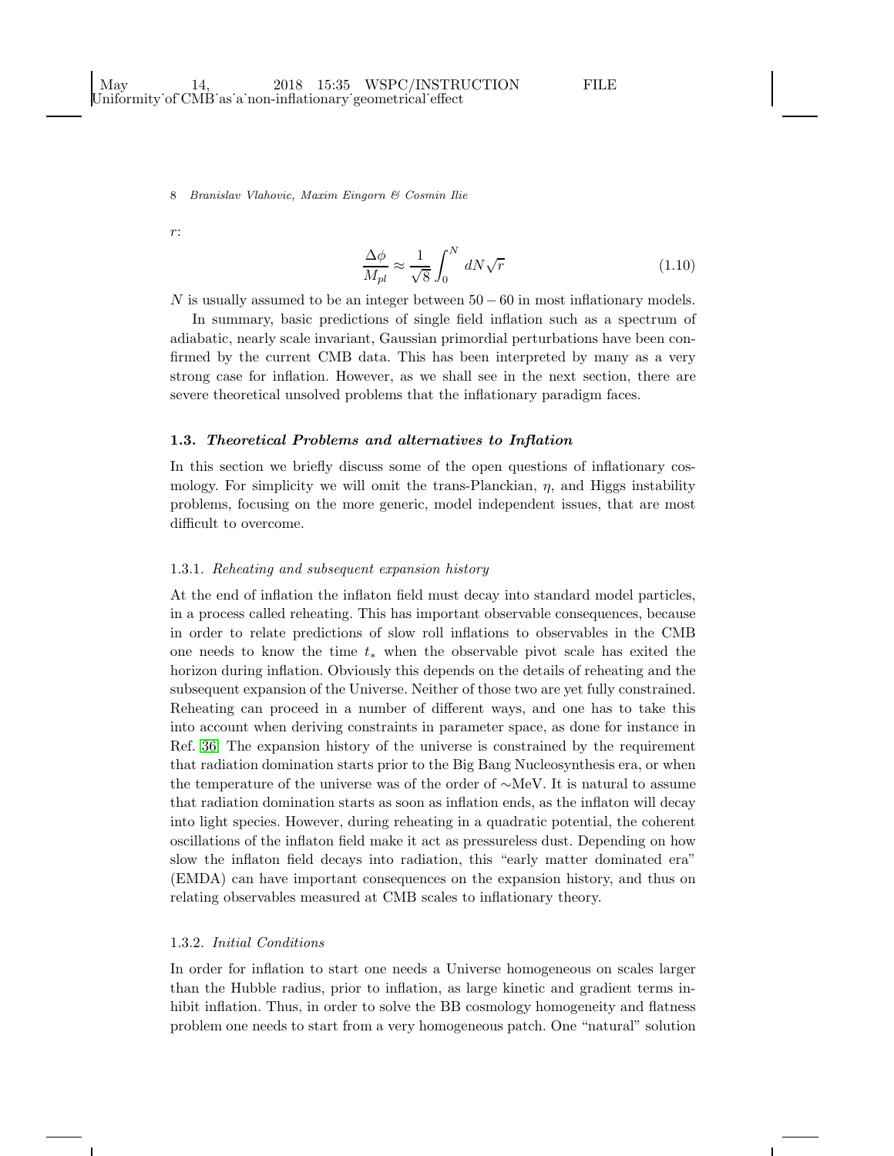r:

$$
\frac{\Delta\phi}{M_{pl}} \approx \frac{1}{\sqrt{8}} \int_0^N dN\sqrt{r}
$$
\n(1.10)

N is usually assumed to be an integer between  $50 - 60$  in most inflationary models.

In summary, basic predictions of single field inflation such as a spectrum of adiabatic, nearly scale invariant, Gaussian primordial perturbations have been confirmed by the current CMB data. This has been interpreted by many as a very strong case for inflation. However, as we shall see in the next section, there are severe theoretical unsolved problems that the inflationary paradigm faces.

## <span id="page-7-0"></span>1.3. Theoretical Problems and alternatives to Inflation

In this section we briefly discuss some of the open questions of inflationary cosmology. For simplicity we will omit the trans-Planckian,  $\eta$ , and Higgs instability problems, focusing on the more generic, model independent issues, that are most difficult to overcome.

## 1.3.1. Reheating and subsequent expansion history

At the end of inflation the inflaton field must decay into standard model particles, in a process called reheating. This has important observable consequences, because in order to relate predictions of slow roll inflations to observables in the CMB one needs to know the time  $t_*$  when the observable pivot scale has exited the horizon during inflation. Obviously this depends on the details of reheating and the subsequent expansion of the Universe. Neither of those two are yet fully constrained. Reheating can proceed in a number of different ways, and one has to take this into account when deriving constraints in parameter space, as done for instance in Ref. [36.](#page-21-12) The expansion history of the universe is constrained by the requirement that radiation domination starts prior to the Big Bang Nucleosynthesis era, or when the temperature of the universe was of the order of ∼MeV. It is natural to assume that radiation domination starts as soon as inflation ends, as the inflaton will decay into light species. However, during reheating in a quadratic potential, the coherent oscillations of the inflaton field make it act as pressureless dust. Depending on how slow the inflaton field decays into radiation, this "early matter dominated era" (EMDA) can have important consequences on the expansion history, and thus on relating observables measured at CMB scales to inflationary theory.

## 1.3.2. Initial Conditions

In order for inflation to start one needs a Universe homogeneous on scales larger than the Hubble radius, prior to inflation, as large kinetic and gradient terms inhibit inflation. Thus, in order to solve the BB cosmology homogeneity and flatness problem one needs to start from a very homogeneous patch. One "natural" solution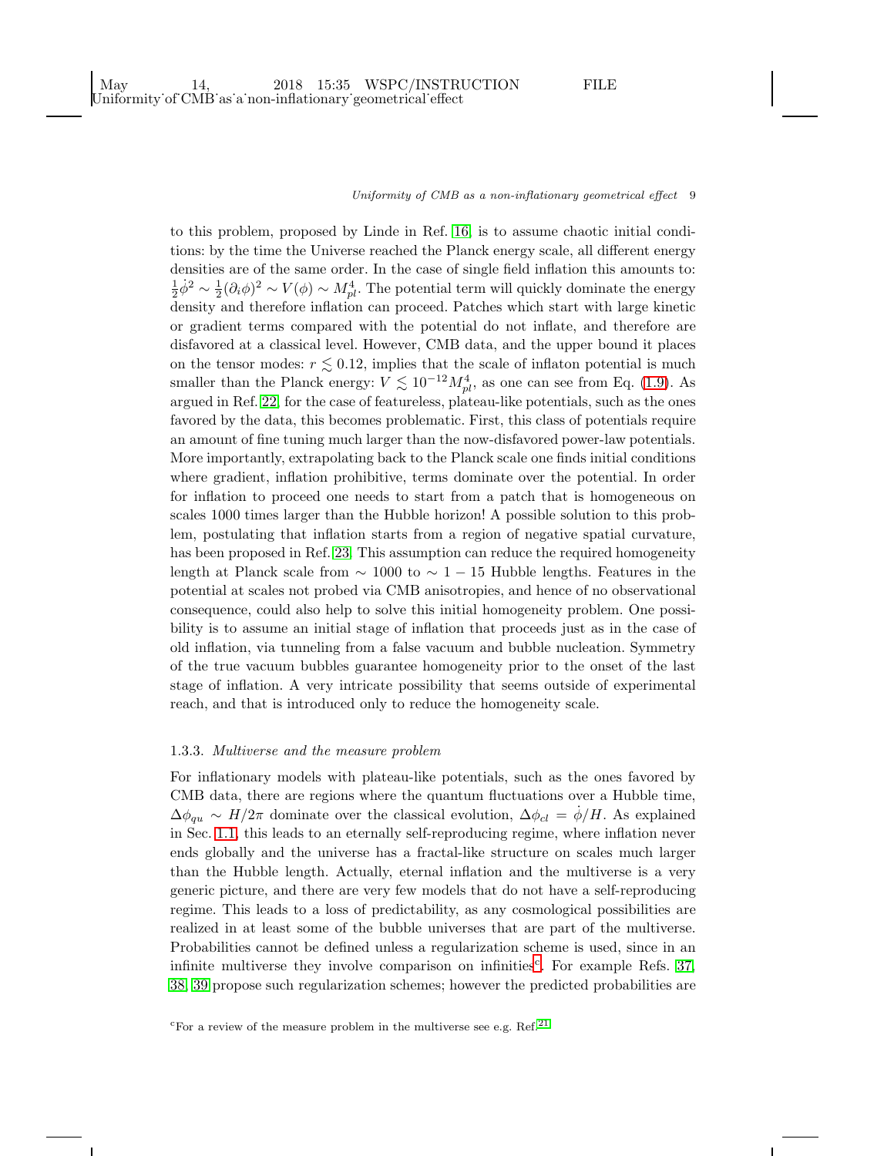to this problem, proposed by Linde in Ref. [16,](#page-20-13) is to assume chaotic initial conditions: by the time the Universe reached the Planck energy scale, all different energy densities are of the same order. In the case of single field inflation this amounts to:  $\frac{1}{2}\dot{\phi}^2 \sim \frac{1}{2}(\partial_i \phi)^2 \sim V(\phi) \sim M_{pl}^4$ . The potential term will quickly dominate the energy density and therefore inflation can proceed. Patches which start with large kinetic or gradient terms compared with the potential do not inflate, and therefore are disfavored at a classical level. However, CMB data, and the upper bound it places on the tensor modes:  $r \lesssim 0.12$ , implies that the scale of inflaton potential is much smaller than the Planck energy:  $V \lesssim 10^{-12} M_{pl}^4$ , as one can see from Eq. [\(1.9\)](#page-6-1). As argued in Ref. [22,](#page-21-13) for the case of featureless, plateau-like potentials, such as the ones favored by the data, this becomes problematic. First, this class of potentials require an amount of fine tuning much larger than the now-disfavored power-law potentials. More importantly, extrapolating back to the Planck scale one finds initial conditions where gradient, inflation prohibitive, terms dominate over the potential. In order for inflation to proceed one needs to start from a patch that is homogeneous on scales 1000 times larger than the Hubble horizon! A possible solution to this problem, postulating that inflation starts from a region of negative spatial curvature, has been proposed in Ref. [23.](#page-21-14) This assumption can reduce the required homogeneity length at Planck scale from  $\sim 1000$  to  $\sim 1-15$  Hubble lengths. Features in the potential at scales not probed via CMB anisotropies, and hence of no observational consequence, could also help to solve this initial homogeneity problem. One possibility is to assume an initial stage of inflation that proceeds just as in the case of old inflation, via tunneling from a false vacuum and bubble nucleation. Symmetry of the true vacuum bubbles guarantee homogeneity prior to the onset of the last stage of inflation. A very intricate possibility that seems outside of experimental reach, and that is introduced only to reduce the homogeneity scale.

## 1.3.3. Multiverse and the measure problem

For inflationary models with plateau-like potentials, such as the ones favored by CMB data, there are regions where the quantum fluctuations over a Hubble time,  $\Delta\phi_{qu} \sim H/2\pi$  dominate over the classical evolution,  $\Delta\phi_{cl} = \dot{\phi}/H$ . As explained in Sec. [1.1,](#page-1-1) this leads to an eternally self-reproducing regime, where inflation never ends globally and the universe has a fractal-like structure on scales much larger than the Hubble length. Actually, eternal inflation and the multiverse is a very generic picture, and there are very few models that do not have a self-reproducing regime. This leads to a loss of predictability, as any cosmological possibilities are realized in at least some of the bubble universes that are part of the multiverse. Probabilities cannot be defined unless a regularization scheme is used, since in an infinite multiverse they involve [c](#page-8-0)omparison on infinities<sup>c</sup>. For example Refs. [37,](#page-21-15) [38,](#page-21-16) [39](#page-21-17) propose such regularization schemes; however the predicted probabilities are

<span id="page-8-0"></span><sup>c</sup>For a review of the measure problem in the multiverse see e.g. Ref.<sup>[21](#page-20-18)</sup>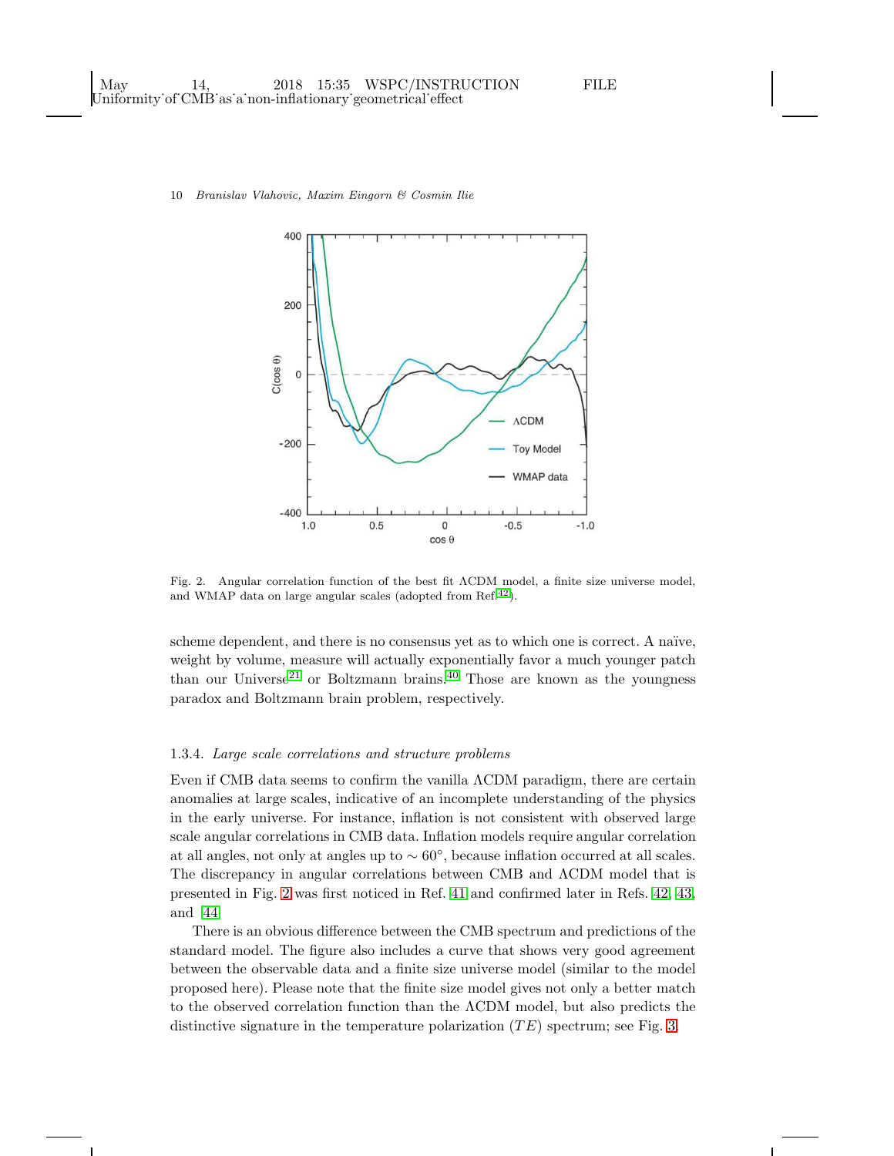

<span id="page-9-0"></span>Fig. 2. Angular correlation function of the best fit ΛCDM model, a finite size universe model, and WMAP data on large angular scales (adopted from Ref.<sup>[42](#page-21-18)</sup>).

scheme dependent, and there is no consensus yet as to which one is correct. A naïve, weight by volume, measure will actually exponentially favor a much younger patch than our Universe<sup>[21](#page-20-18)</sup> or Boltzmann brains.<sup>[40](#page-21-19)</sup> Those are known as the youngness paradox and Boltzmann brain problem, respectively.

# 1.3.4. Large scale correlations and structure problems

Even if CMB data seems to confirm the vanilla ΛCDM paradigm, there are certain anomalies at large scales, indicative of an incomplete understanding of the physics in the early universe. For instance, inflation is not consistent with observed large scale angular correlations in CMB data. Inflation models require angular correlation at all angles, not only at angles up to  $\sim 60^{\circ}$ , because inflation occurred at all scales. The discrepancy in angular correlations between CMB and ΛCDM model that is presented in Fig. [2](#page-9-0) was first noticed in Ref. [41](#page-21-20) and confirmed later in Refs. [42,](#page-21-18) [43,](#page-21-21) and [44.](#page-21-22)

There is an obvious difference between the CMB spectrum and predictions of the standard model. The figure also includes a curve that shows very good agreement between the observable data and a finite size universe model (similar to the model proposed here). Please note that the finite size model gives not only a better match to the observed correlation function than the ΛCDM model, but also predicts the distinctive signature in the temperature polarization  $(TE)$  spectrum; see Fig. [3.](#page-10-0)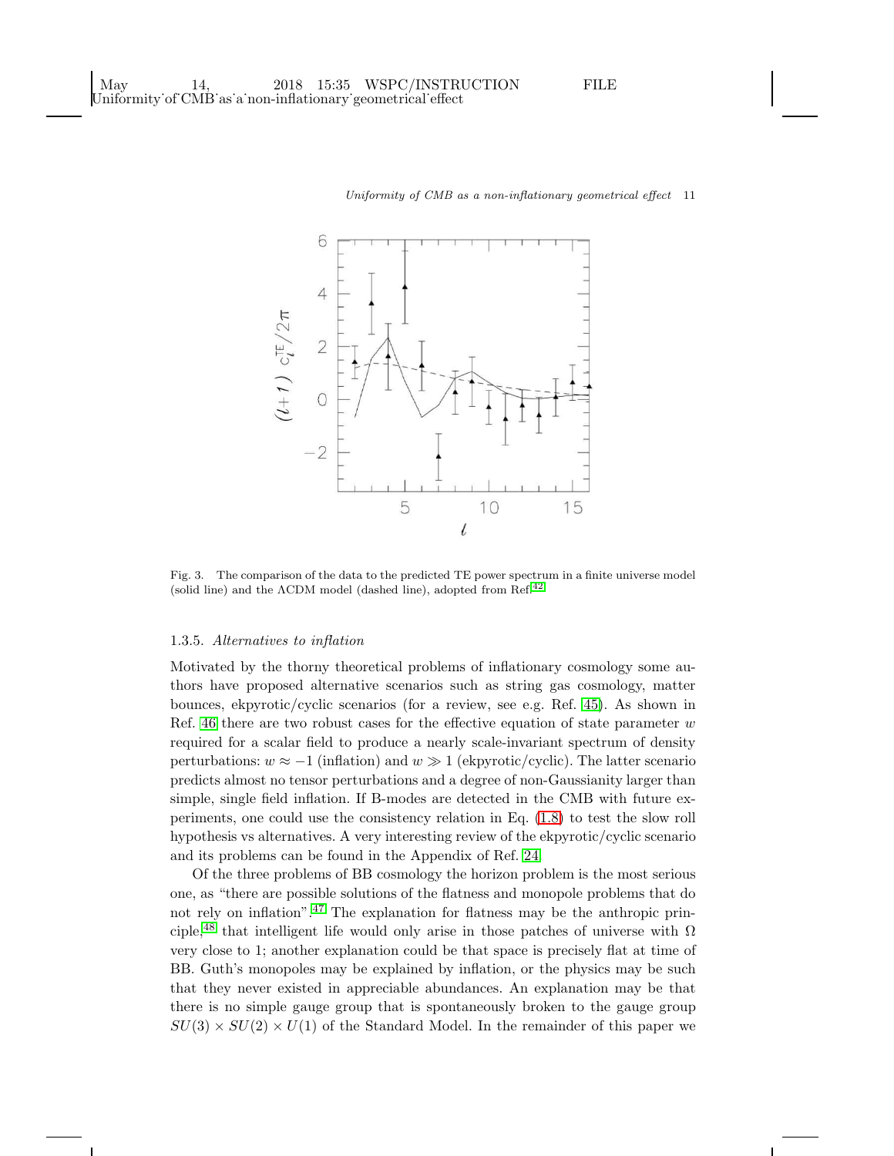

<span id="page-10-0"></span>Fig. 3. The comparison of the data to the predicted TE power spectrum in a finite universe model (solid line) and the ΛCDM model (dashed line), adopted from Ref.[42](#page-21-18)

## 1.3.5. Alternatives to inflation

Motivated by the thorny theoretical problems of inflationary cosmology some authors have proposed alternative scenarios such as string gas cosmology, matter bounces, ekpyrotic/cyclic scenarios (for a review, see e.g. Ref. [45\)](#page-21-23). As shown in Ref. [46](#page-21-24) there are two robust cases for the effective equation of state parameter  $w$ required for a scalar field to produce a nearly scale-invariant spectrum of density perturbations:  $w \approx -1$  (inflation) and  $w \gg 1$  (ekpyrotic/cyclic). The latter scenario predicts almost no tensor perturbations and a degree of non-Gaussianity larger than simple, single field inflation. If B-modes are detected in the CMB with future experiments, one could use the consistency relation in Eq. [\(1.8\)](#page-5-1) to test the slow roll hypothesis vs alternatives. A very interesting review of the ekpyrotic/cyclic scenario and its problems can be found in the Appendix of Ref. [24.](#page-21-0)

Of the three problems of BB cosmology the horizon problem is the most serious one, as "there are possible solutions of the flatness and monopole problems that do not rely on inflation".<sup>[47](#page-21-25)</sup> The explanation for flatness may be the anthropic prin-ciple,<sup>[48](#page-21-26)</sup> that intelligent life would only arise in those patches of universe with  $\Omega$ very close to 1; another explanation could be that space is precisely flat at time of BB. Guth's monopoles may be explained by inflation, or the physics may be such that they never existed in appreciable abundances. An explanation may be that there is no simple gauge group that is spontaneously broken to the gauge group  $SU(3) \times SU(2) \times U(1)$  of the Standard Model. In the remainder of this paper we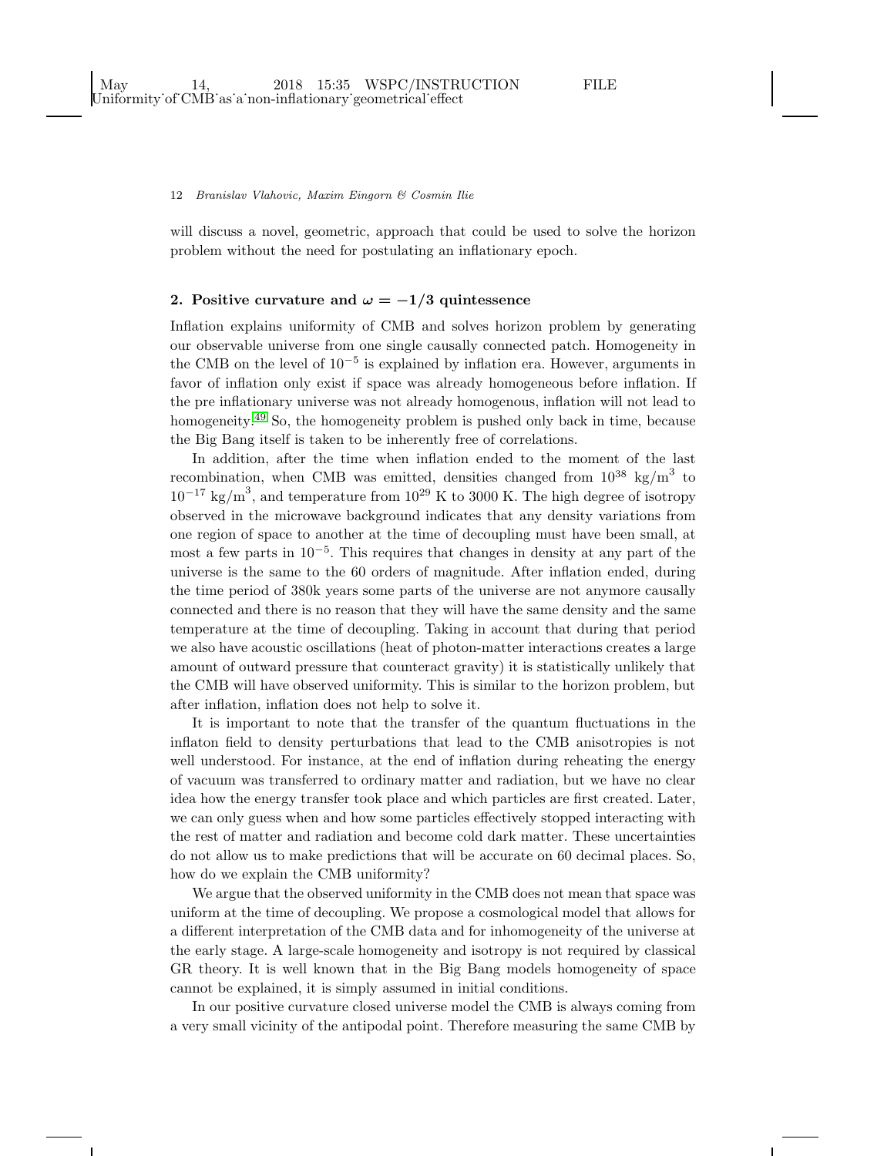will discuss a novel, geometric, approach that could be used to solve the horizon problem without the need for postulating an inflationary epoch.

# 2. Positive curvature and  $\omega = -1/3$  quintessence

Inflation explains uniformity of CMB and solves horizon problem by generating our observable universe from one single causally connected patch. Homogeneity in the CMB on the level of 10−<sup>5</sup> is explained by inflation era. However, arguments in favor of inflation only exist if space was already homogeneous before inflation. If the pre inflationary universe was not already homogenous, inflation will not lead to homogeneity.<sup>[49](#page-21-27)</sup> So, the homogeneity problem is pushed only back in time, because the Big Bang itself is taken to be inherently free of correlations.

In addition, after the time when inflation ended to the moment of the last recombination, when CMB was emitted, densities changed from  $10^{38}$  kg/m<sup>3</sup> to  $10^{-17}$  kg/m<sup>3</sup>, and temperature from  $10^{29}$  K to 3000 K. The high degree of isotropy observed in the microwave background indicates that any density variations from one region of space to another at the time of decoupling must have been small, at most a few parts in  $10^{-5}$ . This requires that changes in density at any part of the universe is the same to the 60 orders of magnitude. After inflation ended, during the time period of 380k years some parts of the universe are not anymore causally connected and there is no reason that they will have the same density and the same temperature at the time of decoupling. Taking in account that during that period we also have acoustic oscillations (heat of photon-matter interactions creates a large amount of outward pressure that counteract gravity) it is statistically unlikely that the CMB will have observed uniformity. This is similar to the horizon problem, but after inflation, inflation does not help to solve it.

It is important to note that the transfer of the quantum fluctuations in the inflaton field to density perturbations that lead to the CMB anisotropies is not well understood. For instance, at the end of inflation during reheating the energy of vacuum was transferred to ordinary matter and radiation, but we have no clear idea how the energy transfer took place and which particles are first created. Later, we can only guess when and how some particles effectively stopped interacting with the rest of matter and radiation and become cold dark matter. These uncertainties do not allow us to make predictions that will be accurate on 60 decimal places. So, how do we explain the CMB uniformity?

We argue that the observed uniformity in the CMB does not mean that space was uniform at the time of decoupling. We propose a cosmological model that allows for a different interpretation of the CMB data and for inhomogeneity of the universe at the early stage. A large-scale homogeneity and isotropy is not required by classical GR theory. It is well known that in the Big Bang models homogeneity of space cannot be explained, it is simply assumed in initial conditions.

In our positive curvature closed universe model the CMB is always coming from a very small vicinity of the antipodal point. Therefore measuring the same CMB by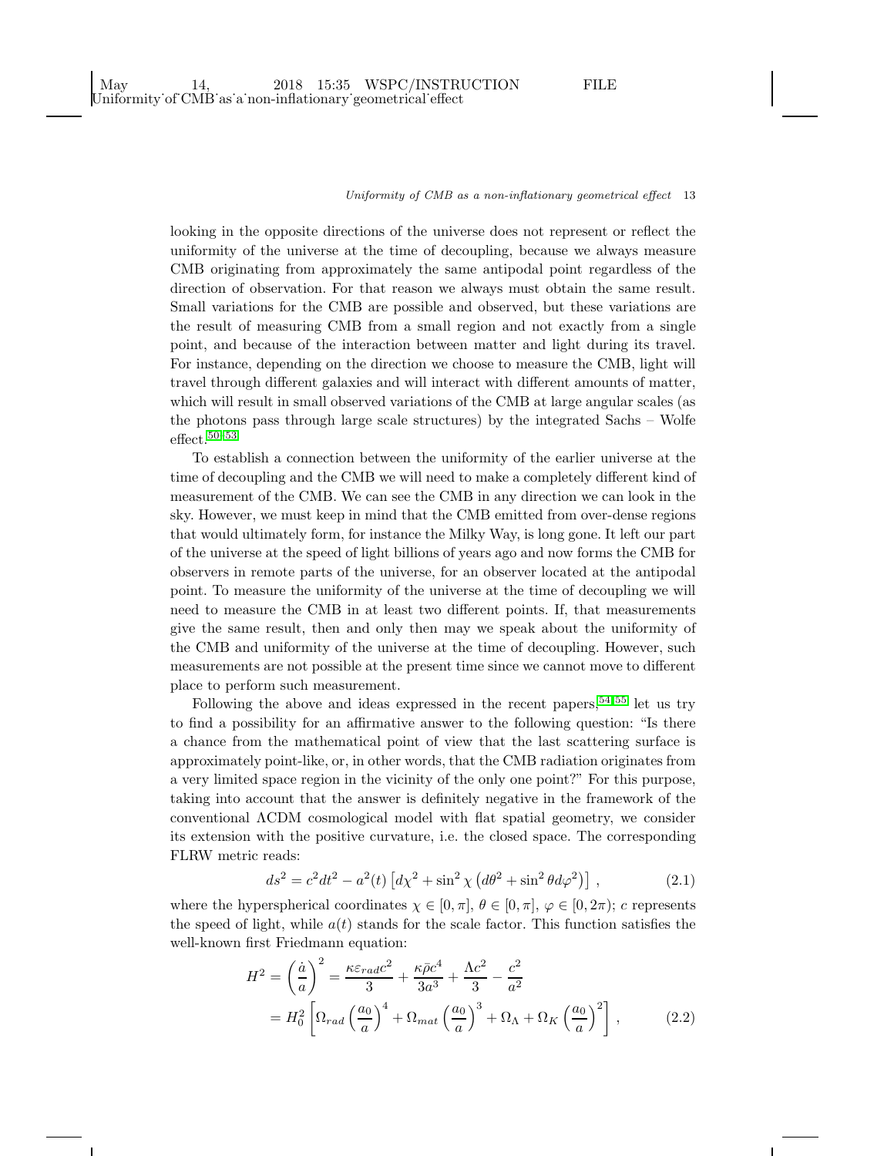looking in the opposite directions of the universe does not represent or reflect the uniformity of the universe at the time of decoupling, because we always measure CMB originating from approximately the same antipodal point regardless of the direction of observation. For that reason we always must obtain the same result. Small variations for the CMB are possible and observed, but these variations are the result of measuring CMB from a small region and not exactly from a single point, and because of the interaction between matter and light during its travel. For instance, depending on the direction we choose to measure the CMB, light will travel through different galaxies and will interact with different amounts of matter, which will result in small observed variations of the CMB at large angular scales (as the photons pass through large scale structures) by the integrated Sachs – Wolfe  $effect.$ <sup>[50](#page-21-28)[–53](#page-22-0)</sup>

To establish a connection between the uniformity of the earlier universe at the time of decoupling and the CMB we will need to make a completely different kind of measurement of the CMB. We can see the CMB in any direction we can look in the sky. However, we must keep in mind that the CMB emitted from over-dense regions that would ultimately form, for instance the Milky Way, is long gone. It left our part of the universe at the speed of light billions of years ago and now forms the CMB for observers in remote parts of the universe, for an observer located at the antipodal point. To measure the uniformity of the universe at the time of decoupling we will need to measure the CMB in at least two different points. If, that measurements give the same result, then and only then may we speak about the uniformity of the CMB and uniformity of the universe at the time of decoupling. However, such measurements are not possible at the present time since we cannot move to different place to perform such measurement.

Following the above and ideas expressed in the recent papers,  $54, 55$  $54, 55$  let us try to find a possibility for an affirmative answer to the following question: "Is there a chance from the mathematical point of view that the last scattering surface is approximately point-like, or, in other words, that the CMB radiation originates from a very limited space region in the vicinity of the only one point?" For this purpose, taking into account that the answer is definitely negative in the framework of the conventional ΛCDM cosmological model with flat spatial geometry, we consider its extension with the positive curvature, i.e. the closed space. The corresponding FLRW metric reads:

$$
ds^{2} = c^{2}dt^{2} - a^{2}(t) \left[ d\chi^{2} + \sin^{2}\chi \left( d\theta^{2} + \sin^{2}\theta d\varphi^{2} \right) \right],
$$
 (2.1)

where the hyperspherical coordinates  $\chi \in [0, \pi], \theta \in [0, \pi], \varphi \in [0, 2\pi)$ ; c represents the speed of light, while  $a(t)$  stands for the scale factor. This function satisfies the well-known first Friedmann equation:

<span id="page-12-0"></span>
$$
H^{2} = \left(\frac{\dot{a}}{a}\right)^{2} = \frac{\kappa \varepsilon_{rad} c^{2}}{3} + \frac{\kappa \bar{\rho} c^{4}}{3a^{3}} + \frac{\Lambda c^{2}}{3} - \frac{c^{2}}{a^{2}}
$$
  
=  $H_{0}^{2} \left[\Omega_{rad} \left(\frac{a_{0}}{a}\right)^{4} + \Omega_{mat} \left(\frac{a_{0}}{a}\right)^{3} + \Omega_{\Lambda} + \Omega_{K} \left(\frac{a_{0}}{a}\right)^{2}\right],$  (2.2)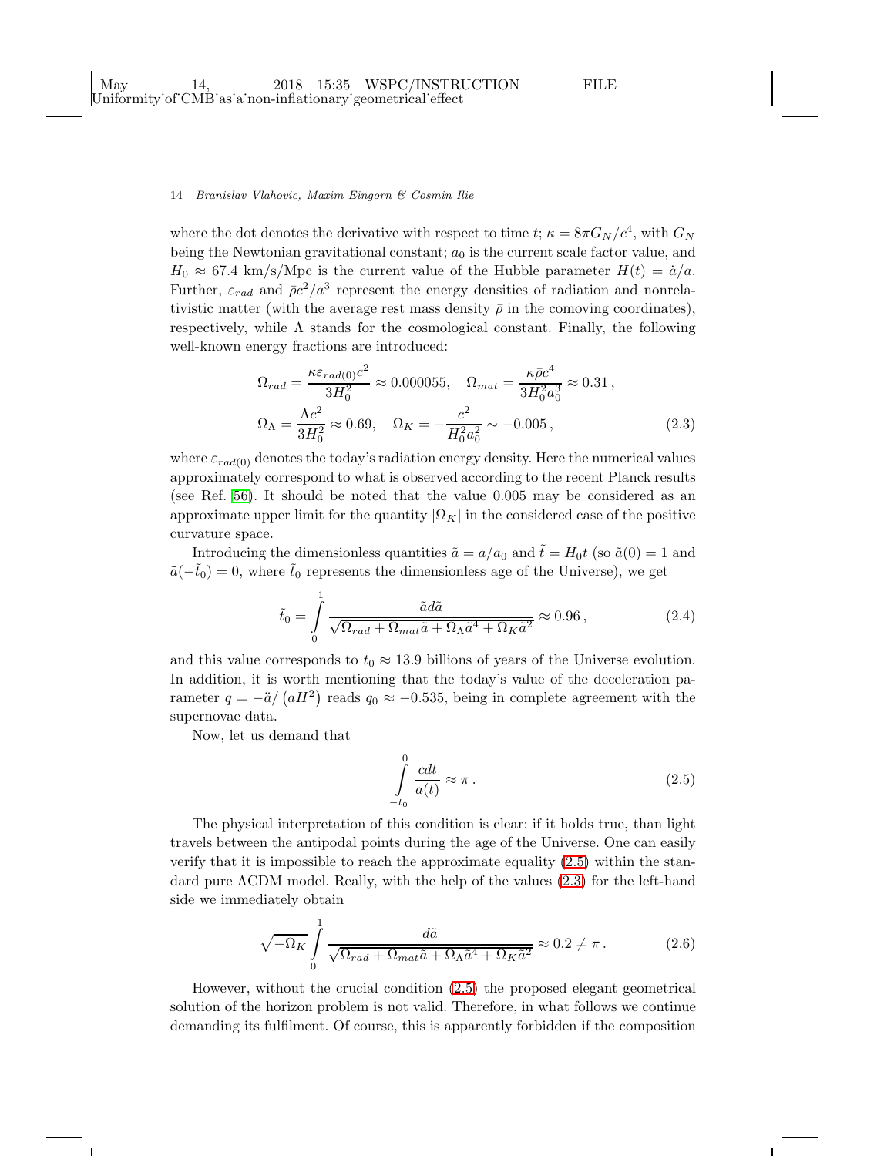where the dot denotes the derivative with respect to time  $t; \kappa = 8\pi G_N/c^4$ , with  $G_N$ being the Newtonian gravitational constant;  $a_0$  is the current scale factor value, and  $H_0 \approx 67.4 \text{ km/s/Mpc}$  is the current value of the Hubble parameter  $H(t) = \dot{a}/a$ . Further,  $\varepsilon_{rad}$  and  $\bar{\rho}c^2/a^3$  represent the energy densities of radiation and nonrelativistic matter (with the average rest mass density  $\bar{\rho}$  in the comoving coordinates), respectively, while  $\Lambda$  stands for the cosmological constant. Finally, the following well-known energy fractions are introduced:

<span id="page-13-1"></span>
$$
\Omega_{rad} = \frac{\kappa \varepsilon_{rad(0)} c^2}{3H_0^2} \approx 0.000055, \quad \Omega_{mat} = \frac{\kappa \bar{\rho} c^4}{3H_0^2 a_0^3} \approx 0.31 ,
$$
\n
$$
\Omega_{\Lambda} = \frac{\Lambda c^2}{3H_0^2} \approx 0.69, \quad \Omega_K = -\frac{c^2}{H_0^2 a_0^2} \sim -0.005 ,
$$
\n(2.3)

where  $\varepsilon_{rad(0)}$  denotes the today's radiation energy density. Here the numerical values approximately correspond to what is observed according to the recent Planck results (see Ref. [56\)](#page-22-3). It should be noted that the value 0.005 may be considered as an approximate upper limit for the quantity  $|\Omega_K|$  in the considered case of the positive curvature space.

Introducing the dimensionless quantities  $\tilde{a} = a/a_0$  and  $\tilde{t} = H_0 t$  (so  $\tilde{a}(0) = 1$  and  $\tilde{a}(-\tilde{t}_0)=0$ , where  $\tilde{t}_0$  represents the dimensionless age of the Universe), we get

$$
\tilde{t}_0 = \int_0^1 \frac{\tilde{a}d\tilde{a}}{\sqrt{\Omega_{rad} + \Omega_{mat}\tilde{a} + \Omega_{\Lambda}\tilde{a}^4 + \Omega_K\tilde{a}^2}} \approx 0.96\,,\tag{2.4}
$$

and this value corresponds to  $t_0 \approx 13.9$  billions of years of the Universe evolution. In addition, it is worth mentioning that the today's value of the deceleration parameter  $q = -\ddot{a}/(aH^2)$  reads  $q_0 \approx -0.535$ , being in complete agreement with the supernovae data.

Now, let us demand that

<span id="page-13-0"></span>
$$
\int_{-t_0}^{0} \frac{cdt}{a(t)} \approx \pi.
$$
\n(2.5)

The physical interpretation of this condition is clear: if it holds true, than light travels between the antipodal points during the age of the Universe. One can easily verify that it is impossible to reach the approximate equality [\(2.5\)](#page-13-0) within the standard pure ΛCDM model. Really, with the help of the values [\(2.3\)](#page-13-1) for the left-hand side we immediately obtain

<span id="page-13-2"></span>
$$
\sqrt{-\Omega_K} \int_0^1 \frac{d\tilde{a}}{\sqrt{\Omega_{rad} + \Omega_{mat}\tilde{a} + \Omega_{\Lambda}\tilde{a}^4 + \Omega_K\tilde{a}^2}} \approx 0.2 \neq \pi.
$$
 (2.6)

However, without the crucial condition [\(2.5\)](#page-13-0) the proposed elegant geometrical solution of the horizon problem is not valid. Therefore, in what follows we continue demanding its fulfilment. Of course, this is apparently forbidden if the composition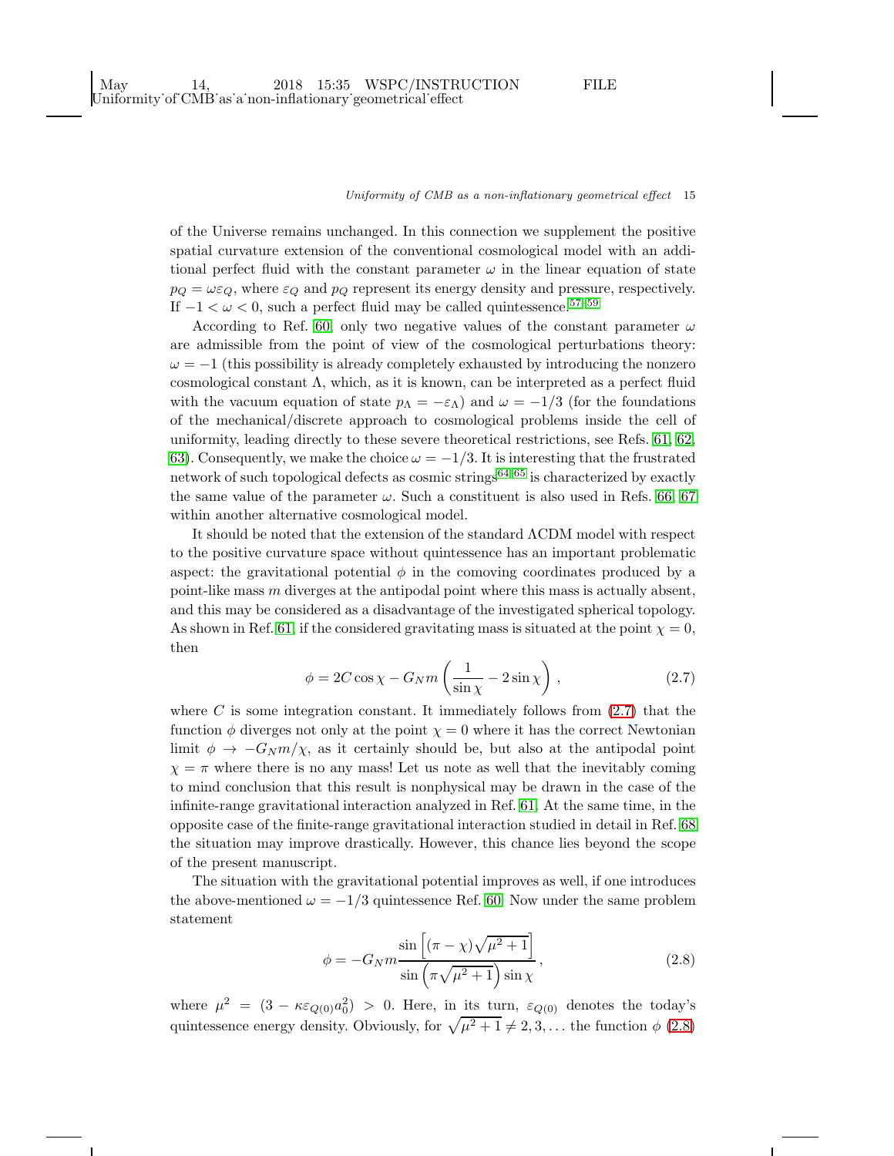of the Universe remains unchanged. In this connection we supplement the positive spatial curvature extension of the conventional cosmological model with an additional perfect fluid with the constant parameter  $\omega$  in the linear equation of state  $p_Q = \omega \varepsilon_Q$ , where  $\varepsilon_Q$  and  $p_Q$  represent its energy density and pressure, respectively. If  $-1<\omega<0,$  such a perfect fluid may be called quintessence.  $^{57-59}$  $^{57-59}$  $^{57-59}$ 

According to Ref. [60,](#page-22-6) only two negative values of the constant parameter  $\omega$ are admissible from the point of view of the cosmological perturbations theory:  $\omega = -1$  (this possibility is already completely exhausted by introducing the nonzero cosmological constant  $\Lambda$ , which, as it is known, can be interpreted as a perfect fluid with the vacuum equation of state  $p_{\Lambda} = -\varepsilon_{\Lambda}$ ) and  $\omega = -1/3$  (for the foundations of the mechanical/discrete approach to cosmological problems inside the cell of uniformity, leading directly to these severe theoretical restrictions, see Refs. [61,](#page-22-7) [62,](#page-22-8) [63\)](#page-22-9). Consequently, we make the choice  $\omega = -1/3$ . It is interesting that the frustrated network of such topological defects as cosmic strings<sup>[64,](#page-22-10) [65](#page-22-11)</sup> is characterized by exactly the same value of the parameter  $\omega$ . Such a constituent is also used in Refs. [66,](#page-22-12) [67](#page-22-13) within another alternative cosmological model.

It should be noted that the extension of the standard ΛCDM model with respect to the positive curvature space without quintessence has an important problematic aspect: the gravitational potential  $\phi$  in the comoving coordinates produced by a point-like mass m diverges at the antipodal point where this mass is actually absent, and this may be considered as a disadvantage of the investigated spherical topology. As shown in Ref. [61,](#page-22-7) if the considered gravitating mass is situated at the point  $\chi = 0$ , then

<span id="page-14-0"></span>
$$
\phi = 2C\cos\chi - G_N m \left(\frac{1}{\sin\chi} - 2\sin\chi\right),\tag{2.7}
$$

where C is some integration constant. It immediately follows from  $(2.7)$  that the function  $\phi$  diverges not only at the point  $\chi = 0$  where it has the correct Newtonian limit  $\phi \to -G_N m/\chi$ , as it certainly should be, but also at the antipodal point  $\chi = \pi$  where there is no any mass! Let us note as well that the inevitably coming to mind conclusion that this result is nonphysical may be drawn in the case of the infinite-range gravitational interaction analyzed in Ref. [61.](#page-22-7) At the same time, in the opposite case of the finite-range gravitational interaction studied in detail in Ref. [68](#page-22-14) the situation may improve drastically. However, this chance lies beyond the scope of the present manuscript.

The situation with the gravitational potential improves as well, if one introduces the above-mentioned  $\omega = -1/3$  quintessence Ref. [60.](#page-22-6) Now under the same problem statement

<span id="page-14-1"></span>
$$
\phi = -G_N m \frac{\sin\left[ (\pi - \chi)\sqrt{\mu^2 + 1} \right]}{\sin\left(\pi\sqrt{\mu^2 + 1} \right)\sin\chi},\tag{2.8}
$$

where  $\mu^2 = (3 - \kappa \varepsilon_{Q(0)} a_0^2) > 0$ . Here, in its turn,  $\varepsilon_{Q(0)}$  denotes the today's quintessence energy density. Obviously, for  $\sqrt{\mu^2 + 1} \neq 2, 3, \ldots$  the function  $\phi$  [\(2.8\)](#page-14-1)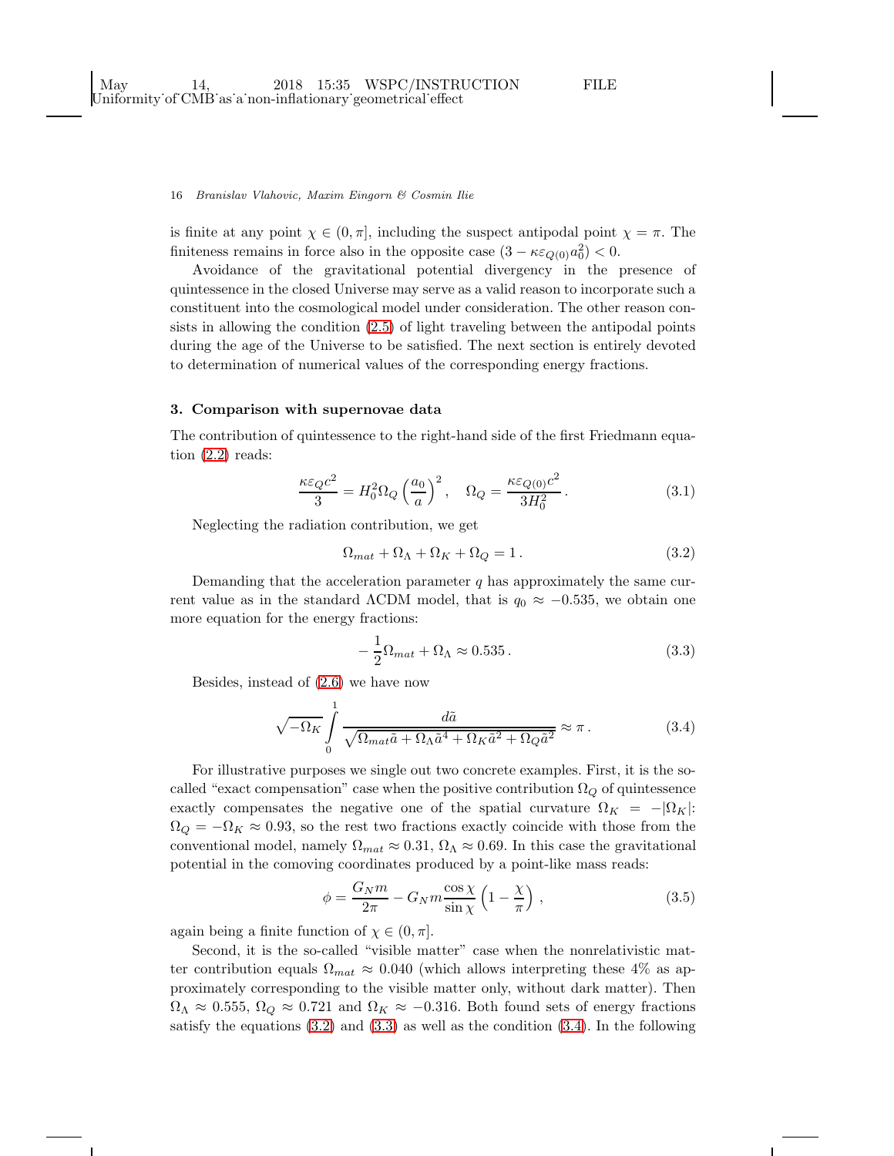is finite at any point  $\chi \in (0, \pi]$ , including the suspect antipodal point  $\chi = \pi$ . The finiteness remains in force also in the opposite case  $(3 - \kappa \varepsilon_{Q(0)} a_0^2) < 0$ .

Avoidance of the gravitational potential divergency in the presence of quintessence in the closed Universe may serve as a valid reason to incorporate such a constituent into the cosmological model under consideration. The other reason consists in allowing the condition [\(2.5\)](#page-13-0) of light traveling between the antipodal points during the age of the Universe to be satisfied. The next section is entirely devoted to determination of numerical values of the corresponding energy fractions.

## 3. Comparison with supernovae data

The contribution of quintessence to the right-hand side of the first Friedmann equation  $(2.2)$  reads:

$$
\frac{\kappa \varepsilon_Q c^2}{3} = H_0^2 \Omega_Q \left(\frac{a_0}{a}\right)^2, \quad \Omega_Q = \frac{\kappa \varepsilon_{Q(0)} c^2}{3H_0^2} \,. \tag{3.1}
$$

Neglecting the radiation contribution, we get

<span id="page-15-0"></span>
$$
\Omega_{mat} + \Omega_{\Lambda} + \Omega_K + \Omega_Q = 1. \tag{3.2}
$$

Demanding that the acceleration parameter  $q$  has approximately the same current value as in the standard  $\Lambda$ CDM model, that is  $q_0 \approx -0.535$ , we obtain one more equation for the energy fractions:

<span id="page-15-1"></span>
$$
-\frac{1}{2}\Omega_{mat} + \Omega_{\Lambda} \approx 0.535.
$$
 (3.3)

Besides, instead of [\(2.6\)](#page-13-2) we have now

<span id="page-15-2"></span>
$$
\sqrt{-\Omega_K} \int_0^1 \frac{d\tilde{a}}{\sqrt{\Omega_{mat}\tilde{a} + \Omega_\Lambda \tilde{a}^4 + \Omega_K \tilde{a}^2 + \Omega_Q \tilde{a}^2}} \approx \pi.
$$
 (3.4)

For illustrative purposes we single out two concrete examples. First, it is the socalled "exact compensation" case when the positive contribution  $\Omega_{\mathcal{O}}$  of quintessence exactly compensates the negative one of the spatial curvature  $\Omega_K = -|\Omega_K|$ :  $\Omega_Q = -\Omega_K \approx 0.93$ , so the rest two fractions exactly coincide with those from the conventional model, namely  $\Omega_{mat} \approx 0.31$ ,  $\Omega_{\Lambda} \approx 0.69$ . In this case the gravitational potential in the comoving coordinates produced by a point-like mass reads:

$$
\phi = \frac{G_N m}{2\pi} - G_N m \frac{\cos \chi}{\sin \chi} \left( 1 - \frac{\chi}{\pi} \right) ,\qquad (3.5)
$$

again being a finite function of  $\chi \in (0, \pi]$ .

Second, it is the so-called "visible matter" case when the nonrelativistic matter contribution equals  $\Omega_{mat} \approx 0.040$  (which allows interpreting these 4% as approximately corresponding to the visible matter only, without dark matter). Then  $\Omega_{\Lambda} \approx 0.555$ ,  $\Omega_{Q} \approx 0.721$  and  $\Omega_{K} \approx -0.316$ . Both found sets of energy fractions satisfy the equations  $(3.2)$  and  $(3.3)$  as well as the condition  $(3.4)$ . In the following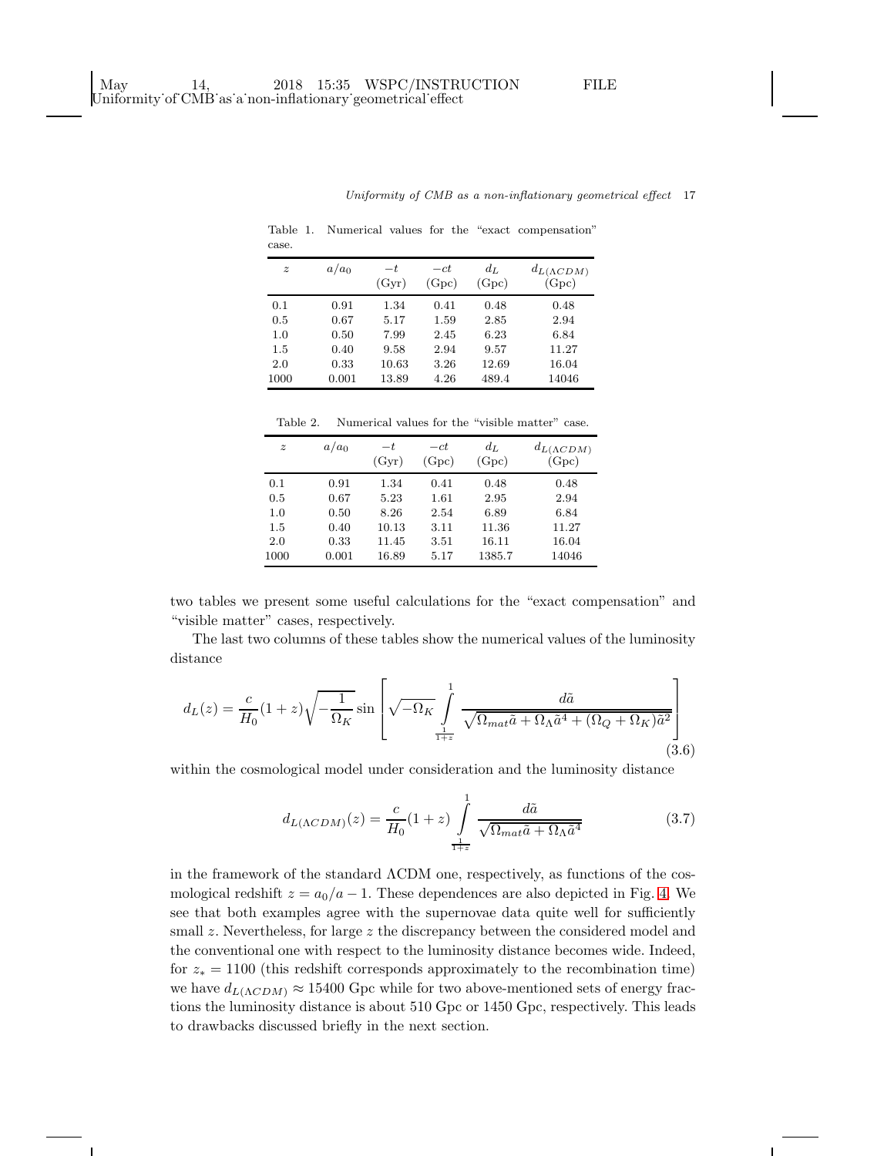case.

| $\boldsymbol{z}$ | $a/a_0$ | $-t$<br>(Gyr) | $-ct$<br>(Gpc) | $d_L$<br>(Gpc) | $d_{L(\Lambda CDM)}$<br>(Gpc) |  |  |  |
|------------------|---------|---------------|----------------|----------------|-------------------------------|--|--|--|
| 0.1              | 0.91    | 1.34          | 0.41           | 0.48           | 0.48                          |  |  |  |
| 0.5              | 0.67    | 5.17          | 1.59           | 2.85           | 2.94                          |  |  |  |
| 1.0              | 0.50    | 7.99          | 2.45           | 6.23           | 6.84                          |  |  |  |
| 1.5              | 0.40    | 9.58          | 2.94           | 9.57           | 11.27                         |  |  |  |
| 2.0              | 0.33    | 10.63         | 3.26           | 12.69          | 16.04                         |  |  |  |
| 1000             | 0.001   | 13.89         | 4.26           | 489.4          | 14046                         |  |  |  |

Uniformity of CMB as a non-inflationary geometrical effect 17

Table 1. Numerical values for the "exact compensation"

Table 2. Numerical values for the "visible matter" case.

| $\boldsymbol{z}$ | $a/a_0$ | $-t$<br>(Gyr) | $-ct$<br>(Gpc) | $d_L$<br>(Gpc) | $d_{L(\Lambda CDM)}$<br>(Gpc) |
|------------------|---------|---------------|----------------|----------------|-------------------------------|
| 0.1              | 0.91    | 1.34          | 0.41           | 0.48           | 0.48                          |
| 0.5              | 0.67    | 5.23          | 1.61           | 2.95           | 2.94                          |
| 1.0              | 0.50    | 8.26          | 2.54           | 6.89           | 6.84                          |
| 1.5              | 0.40    | 10.13         | 3.11           | 11.36          | 11.27                         |
| 2.0              | 0.33    | 11.45         | 3.51           | 16.11          | 16.04                         |
| 1000             | 0.001   | 16.89         | 5.17           | 1385.7         | 14046                         |

two tables we present some useful calculations for the "exact compensation" and "visible matter" cases, respectively.

The last two columns of these tables show the numerical values of the luminosity distance

$$
d_L(z) = \frac{c}{H_0}(1+z)\sqrt{-\frac{1}{\Omega_K}}\sin\left[\sqrt{-\Omega_K}\int\limits_{\frac{1}{1+z}}^1 \frac{d\tilde{a}}{\sqrt{\Omega_{mat}\tilde{a} + \Omega_{\Lambda}\tilde{a}^4 + (\Omega_Q + \Omega_K)\tilde{a}^2}}\right]
$$
(3.6)

within the cosmological model under consideration and the luminosity distance

$$
d_{L(\Lambda CDM)}(z) = \frac{c}{H_0} (1+z) \int_{\frac{1}{1+z}}^1 \frac{d\tilde{a}}{\sqrt{\Omega_{mat}\tilde{a} + \Omega_{\Lambda}\tilde{a}^4}} \tag{3.7}
$$

in the framework of the standard ΛCDM one, respectively, as functions of the cosmological redshift  $z = a_0/a - 1$ . These dependences are also depicted in Fig. [4.](#page-17-0) We see that both examples agree with the supernovae data quite well for sufficiently small  $z$ . Nevertheless, for large  $z$  the discrepancy between the considered model and the conventional one with respect to the luminosity distance becomes wide. Indeed, for  $z_* = 1100$  (this redshift corresponds approximately to the recombination time) we have  $d_{L(\Lambda CDM)} \approx 15400$  Gpc while for two above-mentioned sets of energy fractions the luminosity distance is about 510 Gpc or 1450 Gpc, respectively. This leads to drawbacks discussed briefly in the next section.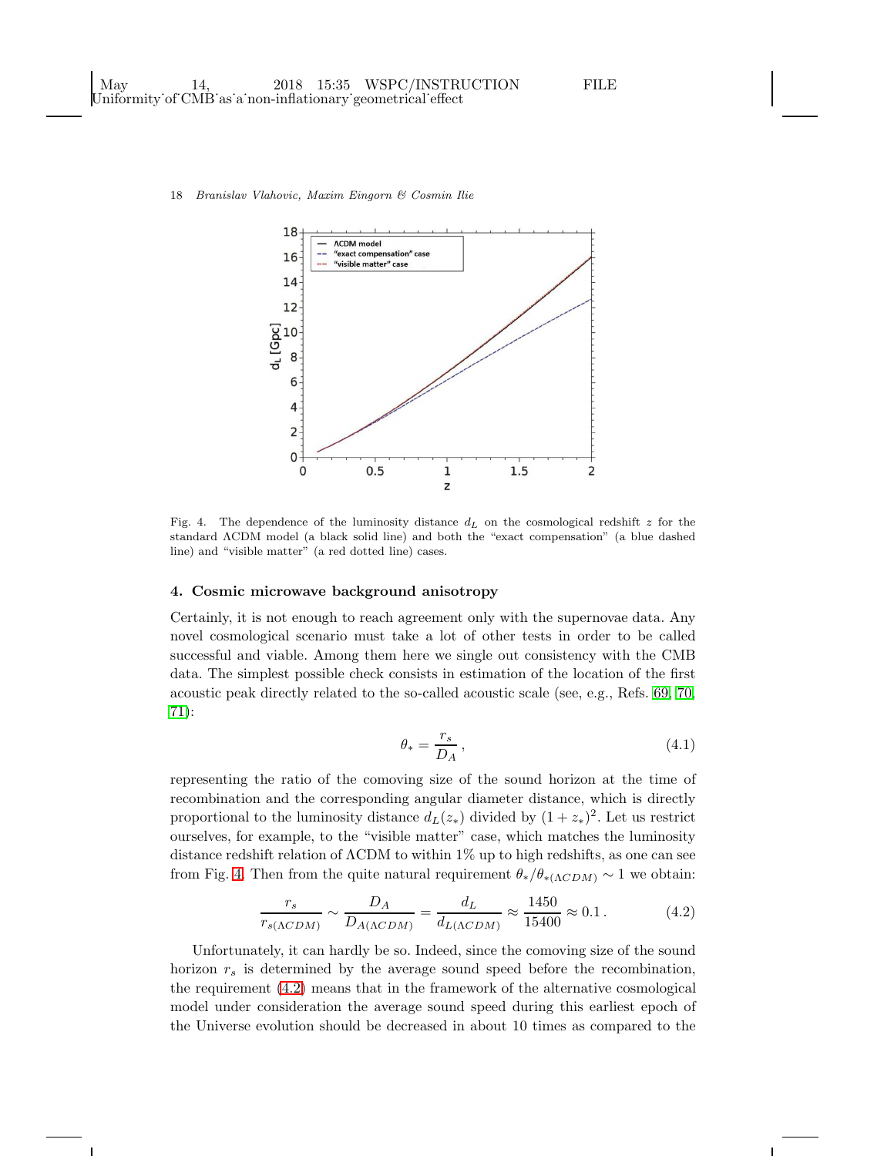



<span id="page-17-0"></span>Fig. 4. The dependence of the luminosity distance  $d<sub>L</sub>$  on the cosmological redshift z for the standard ΛCDM model (a black solid line) and both the "exact compensation" (a blue dashed line) and "visible matter" (a red dotted line) cases.

## 4. Cosmic microwave background anisotropy

Certainly, it is not enough to reach agreement only with the supernovae data. Any novel cosmological scenario must take a lot of other tests in order to be called successful and viable. Among them here we single out consistency with the CMB data. The simplest possible check consists in estimation of the location of the first acoustic peak directly related to the so-called acoustic scale (see, e.g., Refs. [69,](#page-22-15) [70,](#page-22-16) [71\)](#page-22-17):

$$
\theta_* = \frac{r_s}{D_A},\tag{4.1}
$$

representing the ratio of the comoving size of the sound horizon at the time of recombination and the corresponding angular diameter distance, which is directly proportional to the luminosity distance  $d_L(z_*)$  divided by  $(1+z_*)^2$ . Let us restrict ourselves, for example, to the "visible matter" case, which matches the luminosity distance redshift relation of ΛCDM to within 1% up to high redshifts, as one can see from Fig. [4.](#page-17-0) Then from the quite natural requirement  $\theta_*/\theta_{*(\Lambda CDM)} \sim 1$  we obtain:

<span id="page-17-1"></span>
$$
\frac{r_s}{r_{s(\Lambda CDM)}} \sim \frac{D_A}{D_{A(\Lambda CDM)}} = \frac{d_L}{d_{L(\Lambda CDM)}} \approx \frac{1450}{15400} \approx 0.1. \tag{4.2}
$$

Unfortunately, it can hardly be so. Indeed, since the comoving size of the sound horizon  $r_s$  is determined by the average sound speed before the recombination, the requirement [\(4.2\)](#page-17-1) means that in the framework of the alternative cosmological model under consideration the average sound speed during this earliest epoch of the Universe evolution should be decreased in about 10 times as compared to the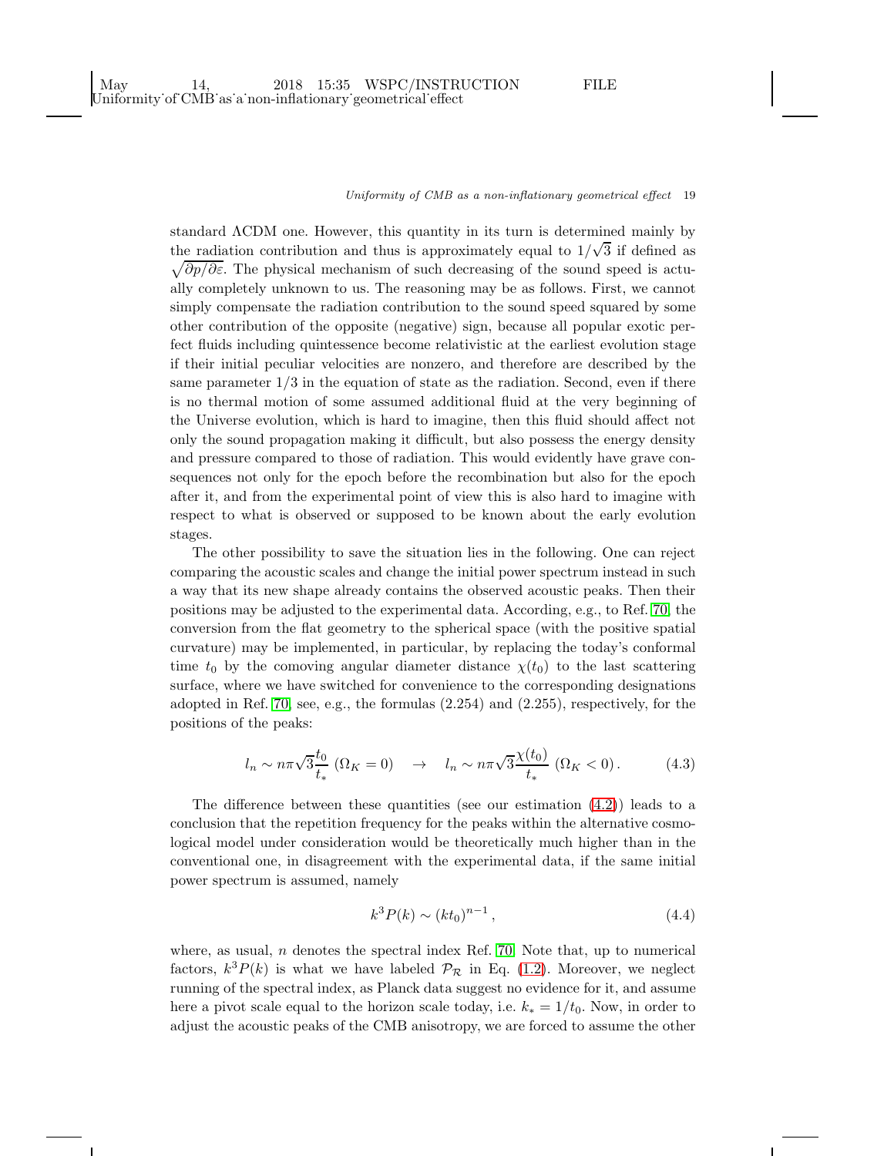standard ΛCDM one. However, this quantity in its turn is determined mainly by the radiation contribution and thus is approximately equal to  $1/\sqrt{3}$  if defined as  $\sqrt{\partial p/\partial \varepsilon}$ . The physical mechanism of such decreasing of the sound speed is actually completely unknown to us. The reasoning may be as follows. First, we cannot simply compensate the radiation contribution to the sound speed squared by some other contribution of the opposite (negative) sign, because all popular exotic perfect fluids including quintessence become relativistic at the earliest evolution stage if their initial peculiar velocities are nonzero, and therefore are described by the same parameter 1/3 in the equation of state as the radiation. Second, even if there is no thermal motion of some assumed additional fluid at the very beginning of the Universe evolution, which is hard to imagine, then this fluid should affect not only the sound propagation making it difficult, but also possess the energy density and pressure compared to those of radiation. This would evidently have grave consequences not only for the epoch before the recombination but also for the epoch after it, and from the experimental point of view this is also hard to imagine with respect to what is observed or supposed to be known about the early evolution stages.

The other possibility to save the situation lies in the following. One can reject comparing the acoustic scales and change the initial power spectrum instead in such a way that its new shape already contains the observed acoustic peaks. Then their positions may be adjusted to the experimental data. According, e.g., to Ref. [70,](#page-22-16) the conversion from the flat geometry to the spherical space (with the positive spatial curvature) may be implemented, in particular, by replacing the today's conformal time  $t_0$  by the comoving angular diameter distance  $\chi(t_0)$  to the last scattering surface, where we have switched for convenience to the corresponding designations adopted in Ref. [70,](#page-22-16) see, e.g., the formulas (2.254) and (2.255), respectively, for the positions of the peaks:

$$
l_n \sim n\pi \sqrt{3} \frac{t_0}{t_*} \left( \Omega_K = 0 \right) \quad \to \quad l_n \sim n\pi \sqrt{3} \frac{\chi(t_0)}{t_*} \left( \Omega_K < 0 \right). \tag{4.3}
$$

The difference between these quantities (see our estimation  $(4.2)$ ) leads to a conclusion that the repetition frequency for the peaks within the alternative cosmological model under consideration would be theoretically much higher than in the conventional one, in disagreement with the experimental data, if the same initial power spectrum is assumed, namely

<span id="page-18-0"></span>
$$
k^3 P(k) \sim (kt_0)^{n-1}, \qquad (4.4)
$$

where, as usual,  $n$  denotes the spectral index Ref. [70.](#page-22-16) Note that, up to numerical factors,  $k^3 P(k)$  is what we have labeled  $\mathcal{P}_{\mathcal{R}}$  in Eq. [\(1.2\)](#page-4-3). Moreover, we neglect running of the spectral index, as Planck data suggest no evidence for it, and assume here a pivot scale equal to the horizon scale today, i.e.  $k_* = 1/t_0$ . Now, in order to adjust the acoustic peaks of the CMB anisotropy, we are forced to assume the other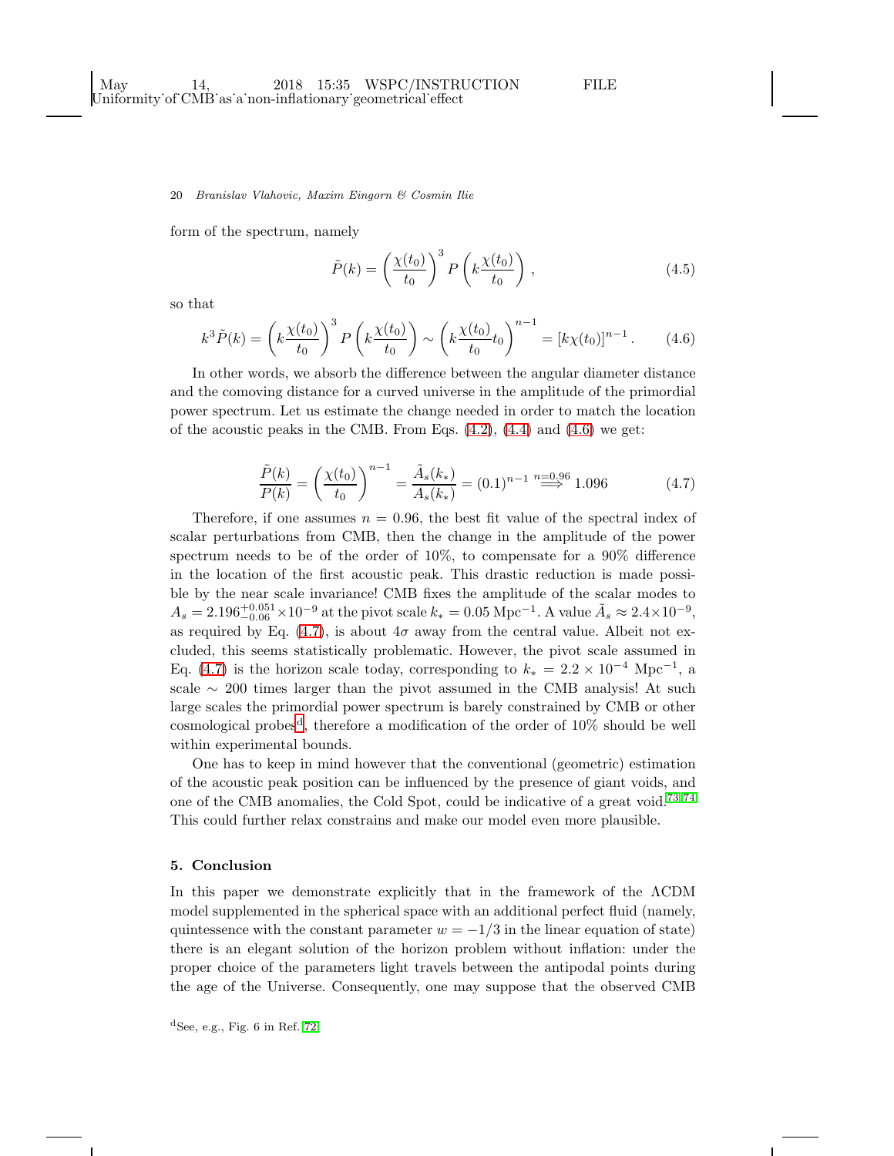form of the spectrum, namely

$$
\tilde{P}(k) = \left(\frac{\chi(t_0)}{t_0}\right)^3 P\left(k\frac{\chi(t_0)}{t_0}\right),\tag{4.5}
$$

so that

<span id="page-19-0"></span>
$$
k^3 \tilde{P}(k) = \left(k \frac{\chi(t_0)}{t_0}\right)^3 P\left(k \frac{\chi(t_0)}{t_0}\right) \sim \left(k \frac{\chi(t_0)}{t_0} t_0\right)^{n-1} = [k\chi(t_0)]^{n-1}.
$$
 (4.6)

In other words, we absorb the difference between the angular diameter distance and the comoving distance for a curved universe in the amplitude of the primordial power spectrum. Let us estimate the change needed in order to match the location of the acoustic peaks in the CMB. From Eqs.  $(4.2)$ ,  $(4.4)$  and  $(4.6)$  we get:

<span id="page-19-1"></span>
$$
\frac{\tilde{P}(k)}{P(k)} = \left(\frac{\chi(t_0)}{t_0}\right)^{n-1} = \frac{\tilde{A}_s(k_*)}{A_s(k_*)} = (0.1)^{n-1} \stackrel{n=0.96}{\Longrightarrow} 1.096\tag{4.7}
$$

Therefore, if one assumes  $n = 0.96$ , the best fit value of the spectral index of scalar perturbations from CMB, then the change in the amplitude of the power spectrum needs to be of the order of 10%, to compensate for a 90% difference in the location of the first acoustic peak. This drastic reduction is made possible by the near scale invariance! CMB fixes the amplitude of the scalar modes to  $A_s = 2.196^{+0.051}_{-0.06} \times 10^{-9}$  at the pivot scale  $k_* = 0.05$  Mpc<sup>-1</sup>. A value  $\tilde{A}_s \approx 2.4 \times 10^{-9}$ , as required by Eq. [\(4.7\)](#page-19-1), is about  $4\sigma$  away from the central value. Albeit not excluded, this seems statistically problematic. However, the pivot scale assumed in Eq. [\(4.7\)](#page-19-1) is the horizon scale today, corresponding to  $k_* = 2.2 \times 10^{-4}$  Mpc<sup>-1</sup>, a scale  $\sim$  200 times larger than the pivot assumed in the CMB analysis! At such large scales the primordial power spectrum is barely constrained by CMB or other cosmological probes<sup>[d](#page-19-2)</sup>, therefore a modification of the order of 10% should be well within experimental bounds.

One has to keep in mind however that the conventional (geometric) estimation of the acoustic peak position can be influenced by the presence of giant voids, and one of the CMB anomalies, the Cold Spot, could be indicative of a great void.<sup>[73,](#page-22-18)74</sup> This could further relax constrains and make our model even more plausible.

## 5. Conclusion

In this paper we demonstrate explicitly that in the framework of the ΛCDM model supplemented in the spherical space with an additional perfect fluid (namely, quintessence with the constant parameter  $w = -1/3$  in the linear equation of state) there is an elegant solution of the horizon problem without inflation: under the proper choice of the parameters light travels between the antipodal points during the age of the Universe. Consequently, one may suppose that the observed CMB

<span id="page-19-2"></span> ${}^{\text{d}}$ See, e.g., Fig. 6 in Ref. [72.](#page-22-20)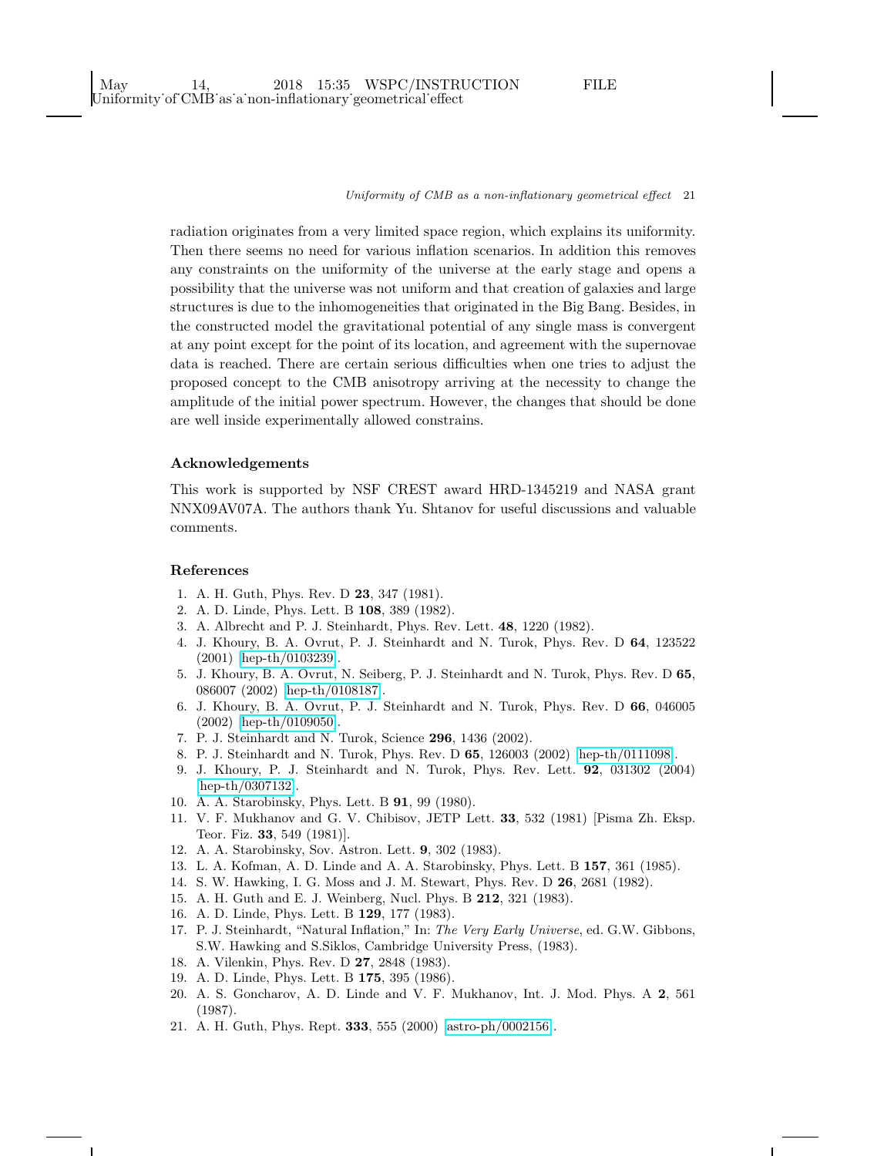radiation originates from a very limited space region, which explains its uniformity. Then there seems no need for various inflation scenarios. In addition this removes any constraints on the uniformity of the universe at the early stage and opens a possibility that the universe was not uniform and that creation of galaxies and large structures is due to the inhomogeneities that originated in the Big Bang. Besides, in the constructed model the gravitational potential of any single mass is convergent at any point except for the point of its location, and agreement with the supernovae data is reached. There are certain serious difficulties when one tries to adjust the proposed concept to the CMB anisotropy arriving at the necessity to change the amplitude of the initial power spectrum. However, the changes that should be done are well inside experimentally allowed constrains.

# Acknowledgements

This work is supported by NSF CREST award HRD-1345219 and NASA grant NNX09AV07A. The authors thank Yu. Shtanov for useful discussions and valuable comments.

# <span id="page-20-0"></span>References

- <span id="page-20-12"></span>1. A. H. Guth, Phys. Rev. D 23, 347 (1981).
- <span id="page-20-1"></span>2. A. D. Linde, Phys. Lett. B 108, 389 (1982).
- <span id="page-20-6"></span>3. A. Albrecht and P. J. Steinhardt, Phys. Rev. Lett. 48, 1220 (1982).
- 4. J. Khoury, B. A. Ovrut, P. J. Steinhardt and N. Turok, Phys. Rev. D 64, 123522 (2001) [\[hep-th/0103239\]](http://arxiv.org/abs/hep-th/0103239).
- 5. J. Khoury, B. A. Ovrut, N. Seiberg, P. J. Steinhardt and N. Turok, Phys. Rev. D 65, 086007 (2002) [\[hep-th/0108187\]](http://arxiv.org/abs/hep-th/0108187).
- <span id="page-20-7"></span>6. J. Khoury, B. A. Ovrut, P. J. Steinhardt and N. Turok, Phys. Rev. D 66, 046005 (2002) [\[hep-th/0109050\]](http://arxiv.org/abs/hep-th/0109050).
- <span id="page-20-8"></span>7. P. J. Steinhardt and N. Turok, Science 296, 1436 (2002).
- <span id="page-20-9"></span>8. P. J. Steinhardt and N. Turok, Phys. Rev. D 65, 126003 (2002) [\[hep-th/0111098\]](http://arxiv.org/abs/hep-th/0111098).
- 9. J. Khoury, P. J. Steinhardt and N. Turok, Phys. Rev. Lett. 92, 031302 (2004) [\[hep-th/0307132\]](http://arxiv.org/abs/hep-th/0307132).
- <span id="page-20-3"></span><span id="page-20-2"></span>10. A. A. Starobinsky, Phys. Lett. B 91, 99 (1980).
- 11. V. F. Mukhanov and G. V. Chibisov, JETP Lett. 33, 532 (1981) [Pisma Zh. Eksp. Teor. Fiz. 33, 549 (1981)].
- <span id="page-20-5"></span><span id="page-20-4"></span>12. A. A. Starobinsky, Sov. Astron. Lett. 9, 302 (1983).
- <span id="page-20-10"></span>13. L. A. Kofman, A. D. Linde and A. A. Starobinsky, Phys. Lett. B 157, 361 (1985).
- <span id="page-20-11"></span>14. S. W. Hawking, I. G. Moss and J. M. Stewart, Phys. Rev. D 26, 2681 (1982).
- <span id="page-20-13"></span>15. A. H. Guth and E. J. Weinberg, Nucl. Phys. B 212, 321 (1983).
- <span id="page-20-14"></span>16. A. D. Linde, Phys. Lett. B 129, 177 (1983).
- 17. P. J. Steinhardt, "Natural Inflation," In: *The Very Early Universe*, ed. G.W. Gibbons, S.W. Hawking and S.Siklos, Cambridge University Press, (1983).
- <span id="page-20-16"></span><span id="page-20-15"></span>18. A. Vilenkin, Phys. Rev. D 27, 2848 (1983).
- <span id="page-20-17"></span>19. A. D. Linde, Phys. Lett. B 175, 395 (1986).
- 20. A. S. Goncharov, A. D. Linde and V. F. Mukhanov, Int. J. Mod. Phys. A 2, 561 (1987).
- <span id="page-20-18"></span>21. A. H. Guth, Phys. Rept. 333, 555 (2000) [\[astro-ph/0002156\]](http://arxiv.org/abs/astro-ph/0002156).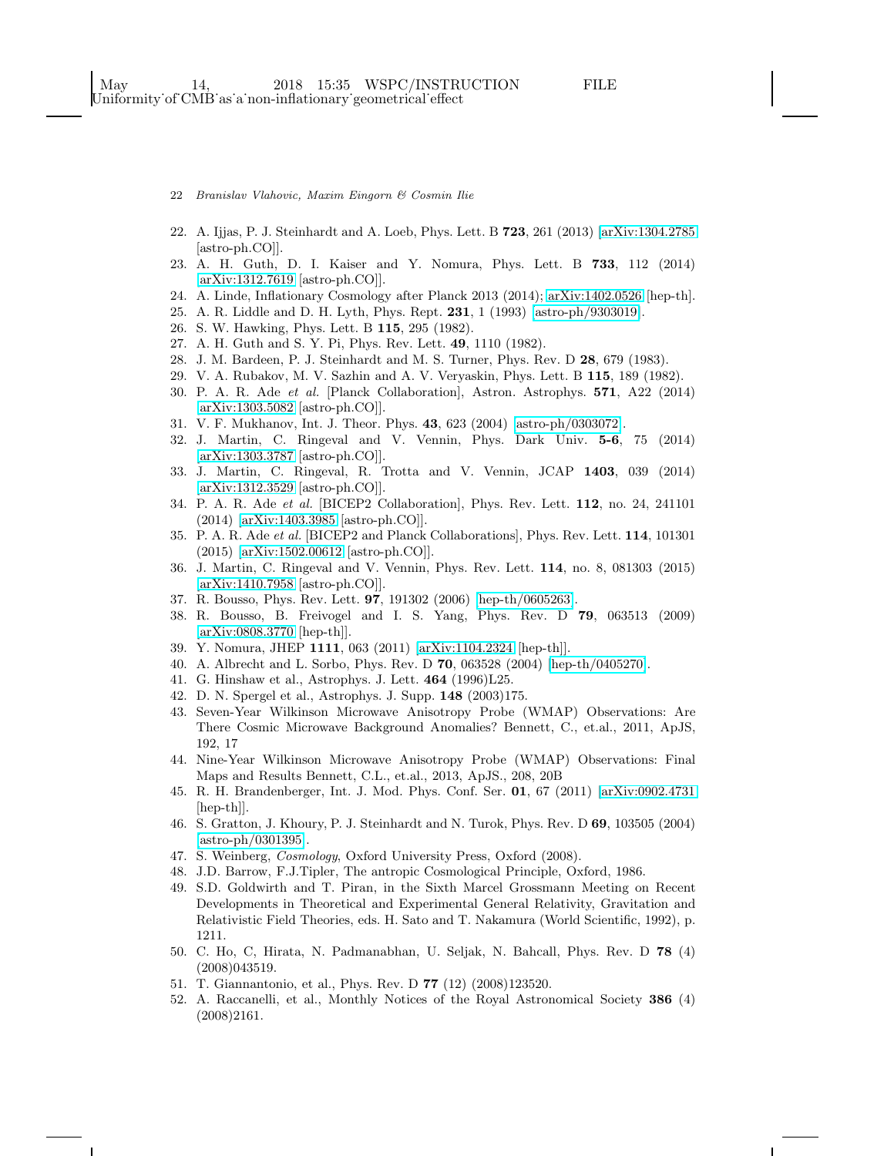- 22 Branislav Vlahovic, Maxim Eingorn & Cosmin Ilie
- <span id="page-21-14"></span><span id="page-21-13"></span>22. A. Ijjas, P. J. Steinhardt and A. Loeb, Phys. Lett. B 723, 261 (2013) [\[arXiv:1304.2785](http://arxiv.org/abs/1304.2785) [astro-ph.CO]].
- 23. A. H. Guth, D. I. Kaiser and Y. Nomura, Phys. Lett. B 733, 112 (2014) [\[arXiv:1312.7619](http://arxiv.org/abs/1312.7619) [astro-ph.CO]].
- <span id="page-21-1"></span><span id="page-21-0"></span>24. A. Linde, Inflationary Cosmology after Planck 2013 (2014); [arXiv:1402.0526](http://arxiv.org/abs/1402.0526) [hep-th].
- <span id="page-21-2"></span>25. A. R. Liddle and D. H. Lyth, Phys. Rept. 231, 1 (1993) [\[astro-ph/9303019\]](http://arxiv.org/abs/astro-ph/9303019).
- <span id="page-21-3"></span>26. S. W. Hawking, Phys. Lett. B 115, 295 (1982).
- <span id="page-21-4"></span>27. A. H. Guth and S. Y. Pi, Phys. Rev. Lett. 49, 1110 (1982).
- <span id="page-21-5"></span>28. J. M. Bardeen, P. J. Steinhardt and M. S. Turner, Phys. Rev. D 28, 679 (1983).
- <span id="page-21-6"></span>29. V. A. Rubakov, M. V. Sazhin and A. V. Veryaskin, Phys. Lett. B 115, 189 (1982).
- 30. P. A. R. Ade *et al.* [Planck Collaboration], Astron. Astrophys. 571, A22 (2014) [\[arXiv:1303.5082](http://arxiv.org/abs/1303.5082) [astro-ph.CO]].
- <span id="page-21-8"></span><span id="page-21-7"></span>31. V. F. Mukhanov, Int. J. Theor. Phys. 43, 623 (2004) [\[astro-ph/0303072\]](http://arxiv.org/abs/astro-ph/0303072).
- 32. J. Martin, C. Ringeval and V. Vennin, Phys. Dark Univ. 5-6, 75 (2014) [\[arXiv:1303.3787](http://arxiv.org/abs/1303.3787) [astro-ph.CO]].
- <span id="page-21-9"></span>33. J. Martin, C. Ringeval, R. Trotta and V. Vennin, JCAP 1403, 039 (2014) [\[arXiv:1312.3529](http://arxiv.org/abs/1312.3529) [astro-ph.CO]].
- <span id="page-21-10"></span>34. P. A. R. Ade *et al.* [BICEP2 Collaboration], Phys. Rev. Lett. 112, no. 24, 241101 (2014) [\[arXiv:1403.3985](http://arxiv.org/abs/1403.3985) [astro-ph.CO]].
- <span id="page-21-11"></span>35. P. A. R. Ade *et al.* [BICEP2 and Planck Collaborations], Phys. Rev. Lett. 114, 101301 (2015) [\[arXiv:1502.00612](http://arxiv.org/abs/1502.00612) [astro-ph.CO]].
- <span id="page-21-12"></span>36. J. Martin, C. Ringeval and V. Vennin, Phys. Rev. Lett. 114, no. 8, 081303 (2015) [\[arXiv:1410.7958](http://arxiv.org/abs/1410.7958) [astro-ph.CO]].
- <span id="page-21-16"></span><span id="page-21-15"></span>37. R. Bousso, Phys. Rev. Lett. 97, 191302 (2006) [\[hep-th/0605263\]](http://arxiv.org/abs/hep-th/0605263).
- 38. R. Bousso, B. Freivogel and I. S. Yang, Phys. Rev. D 79, 063513 (2009) [\[arXiv:0808.3770](http://arxiv.org/abs/0808.3770) [hep-th]].
- <span id="page-21-19"></span><span id="page-21-17"></span>39. Y. Nomura, JHEP 1111, 063 (2011) [\[arXiv:1104.2324](http://arxiv.org/abs/1104.2324) [hep-th]].
- <span id="page-21-20"></span>40. A. Albrecht and L. Sorbo, Phys. Rev. D 70, 063528 (2004) [\[hep-th/0405270\]](http://arxiv.org/abs/hep-th/0405270).
- <span id="page-21-18"></span>41. G. Hinshaw et al., Astrophys. J. Lett. 464 (1996)L25.
- <span id="page-21-21"></span>42. D. N. Spergel et al., Astrophys. J. Supp. 148 (2003)175.
- 43. Seven-Year Wilkinson Microwave Anisotropy Probe (WMAP) Observations: Are There Cosmic Microwave Background Anomalies? Bennett, C., et.al., 2011, ApJS, 192, 17
- <span id="page-21-22"></span>44. Nine-Year Wilkinson Microwave Anisotropy Probe (WMAP) Observations: Final Maps and Results Bennett, C.L., et.al., 2013, ApJS., 208, 20B
- <span id="page-21-23"></span>45. R. H. Brandenberger, Int. J. Mod. Phys. Conf. Ser. 01, 67 (2011) [\[arXiv:0902.4731](http://arxiv.org/abs/0902.4731) [hep-th]].
- <span id="page-21-24"></span>46. S. Gratton, J. Khoury, P. J. Steinhardt and N. Turok, Phys. Rev. D 69, 103505 (2004) [\[astro-ph/0301395\]](http://arxiv.org/abs/astro-ph/0301395).
- <span id="page-21-26"></span><span id="page-21-25"></span>47. S. Weinberg, *Cosmology*, Oxford University Press, Oxford (2008).
- <span id="page-21-27"></span>48. J.D. Barrow, F.J.Tipler, The antropic Cosmological Principle, Oxford, 1986.
- 49. S.D. Goldwirth and T. Piran, in the Sixth Marcel Grossmann Meeting on Recent Developments in Theoretical and Experimental General Relativity, Gravitation and Relativistic Field Theories, eds. H. Sato and T. Nakamura (World Scientific, 1992), p. 1211.
- <span id="page-21-28"></span>50. C. Ho, C, Hirata, N. Padmanabhan, U. Seljak, N. Bahcall, Phys. Rev. D 78 (4) (2008)043519.
- 51. T. Giannantonio, et al., Phys. Rev. D 77 (12) (2008)123520.
- 52. A. Raccanelli, et al., Monthly Notices of the Royal Astronomical Society 386 (4) (2008)2161.